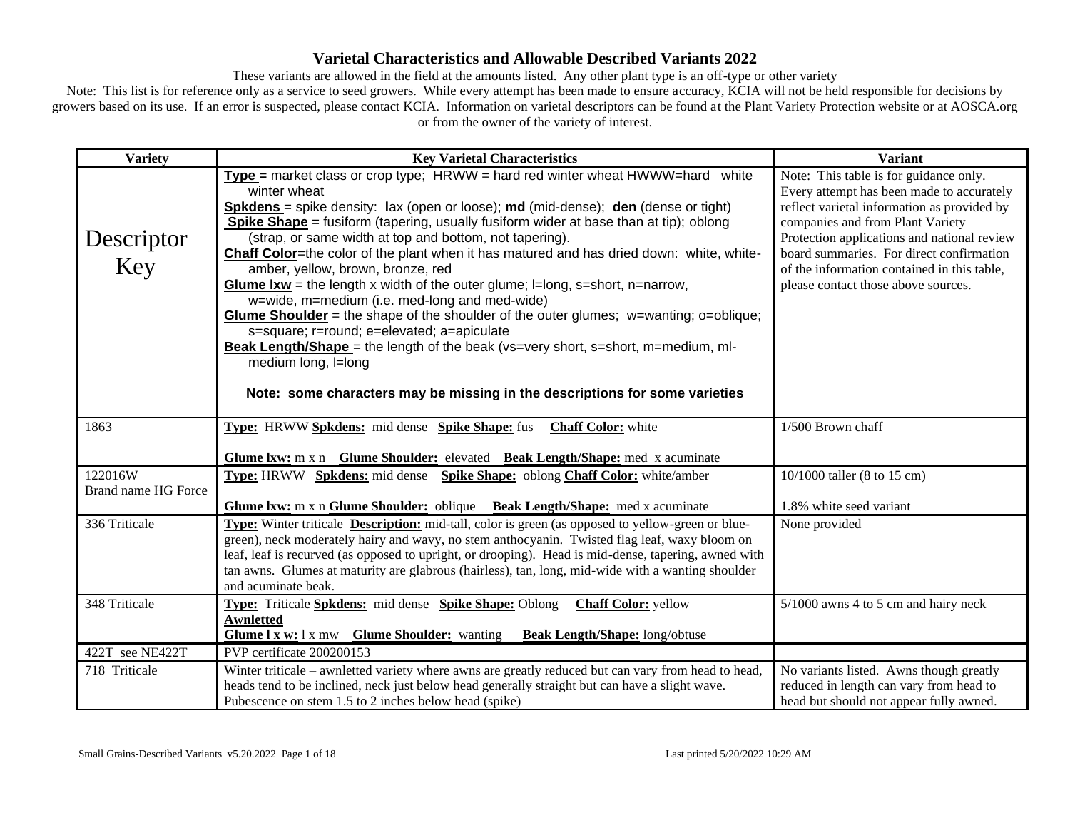These variants are allowed in the field at the amounts listed. Any other plant type is an off-type or other variety

| <b>Variety</b>                 | <b>Key Varietal Characteristics</b>                                                                                                                                                                                                                                                                                                                                                                                                                                                                                                                                                                                                                                                                                                                                                                                                                                                                                                                                          | <b>Variant</b>                                                                                                                                                                                                                                                                                                                                          |
|--------------------------------|------------------------------------------------------------------------------------------------------------------------------------------------------------------------------------------------------------------------------------------------------------------------------------------------------------------------------------------------------------------------------------------------------------------------------------------------------------------------------------------------------------------------------------------------------------------------------------------------------------------------------------------------------------------------------------------------------------------------------------------------------------------------------------------------------------------------------------------------------------------------------------------------------------------------------------------------------------------------------|---------------------------------------------------------------------------------------------------------------------------------------------------------------------------------------------------------------------------------------------------------------------------------------------------------------------------------------------------------|
| Descriptor<br>Key              | Type = market class or crop type; HRWW = hard red winter wheat HWWW=hard white<br>winter wheat<br><b>Spkdens</b> = spike density: lax (open or loose); md (mid-dense); den (dense or tight)<br>Spike Shape = fusiform (tapering, usually fusiform wider at base than at tip); oblong<br>(strap, or same width at top and bottom, not tapering).<br>Chaff Color=the color of the plant when it has matured and has dried down: white, white-<br>amber, yellow, brown, bronze, red<br><b>Glume Ixw</b> = the length x width of the outer glume; $\equiv$ long, s=short, n=narrow,<br>w=wide, m=medium (i.e. med-long and med-wide)<br><b>Glume Shoulder</b> = the shape of the shoulder of the outer glumes; $w=$ wanting; o=oblique;<br>s=square; r=round; e=elevated; a=apiculate<br>Beak Length/Shape = the length of the beak (vs=very short, s=short, m=medium, ml-<br>medium long, I=long<br>Note: some characters may be missing in the descriptions for some varieties | Note: This table is for guidance only.<br>Every attempt has been made to accurately<br>reflect varietal information as provided by<br>companies and from Plant Variety<br>Protection applications and national review<br>board summaries. For direct confirmation<br>of the information contained in this table,<br>please contact those above sources. |
| 1863                           | <b>Type:</b> HRWW Spkdens: mid dense Spike Shape: fus<br><b>Chaff Color:</b> white                                                                                                                                                                                                                                                                                                                                                                                                                                                                                                                                                                                                                                                                                                                                                                                                                                                                                           | 1/500 Brown chaff                                                                                                                                                                                                                                                                                                                                       |
|                                | Glume Ixw: m x n Glume Shoulder: elevated Beak Length/Shape: med x acuminate                                                                                                                                                                                                                                                                                                                                                                                                                                                                                                                                                                                                                                                                                                                                                                                                                                                                                                 |                                                                                                                                                                                                                                                                                                                                                         |
| 122016W<br>Brand name HG Force | <b>Type:</b> HRWW Spkdens: mid dense Spike Shape: oblong Chaff Color: white/amber                                                                                                                                                                                                                                                                                                                                                                                                                                                                                                                                                                                                                                                                                                                                                                                                                                                                                            | 10/1000 taller (8 to 15 cm)                                                                                                                                                                                                                                                                                                                             |
|                                | Glume Ixw: m x n Glume Shoulder: oblique Beak Length/Shape: med x acuminate                                                                                                                                                                                                                                                                                                                                                                                                                                                                                                                                                                                                                                                                                                                                                                                                                                                                                                  | 1.8% white seed variant                                                                                                                                                                                                                                                                                                                                 |
| 336 Triticale                  | <b>Type:</b> Winter triticale <b>Description:</b> mid-tall, color is green (as opposed to yellow-green or blue-<br>green), neck moderately hairy and wavy, no stem anthocyanin. Twisted flag leaf, waxy bloom on<br>leaf, leaf is recurved (as opposed to upright, or drooping). Head is mid-dense, tapering, awned with<br>tan awns. Glumes at maturity are glabrous (hairless), tan, long, mid-wide with a wanting shoulder<br>and acuminate beak.                                                                                                                                                                                                                                                                                                                                                                                                                                                                                                                         | None provided                                                                                                                                                                                                                                                                                                                                           |
| 348 Triticale                  | Type: Triticale Spkdens: mid dense Spike Shape: Oblong<br><b>Chaff Color:</b> yellow<br><b>Awnletted</b><br>Glume 1 x w: 1 x mw<br><b>Glume Shoulder:</b> wanting<br><b>Beak Length/Shape:</b> long/obtuse                                                                                                                                                                                                                                                                                                                                                                                                                                                                                                                                                                                                                                                                                                                                                                   | 5/1000 awns 4 to 5 cm and hairy neck                                                                                                                                                                                                                                                                                                                    |
| 422T see NE422T                | PVP certificate 200200153                                                                                                                                                                                                                                                                                                                                                                                                                                                                                                                                                                                                                                                                                                                                                                                                                                                                                                                                                    |                                                                                                                                                                                                                                                                                                                                                         |
| 718 Triticale                  | Winter triticale – awnletted variety where awns are greatly reduced but can vary from head to head,<br>heads tend to be inclined, neck just below head generally straight but can have a slight wave.<br>Pubescence on stem 1.5 to 2 inches below head (spike)                                                                                                                                                                                                                                                                                                                                                                                                                                                                                                                                                                                                                                                                                                               | No variants listed. Awns though greatly<br>reduced in length can vary from head to<br>head but should not appear fully awned.                                                                                                                                                                                                                           |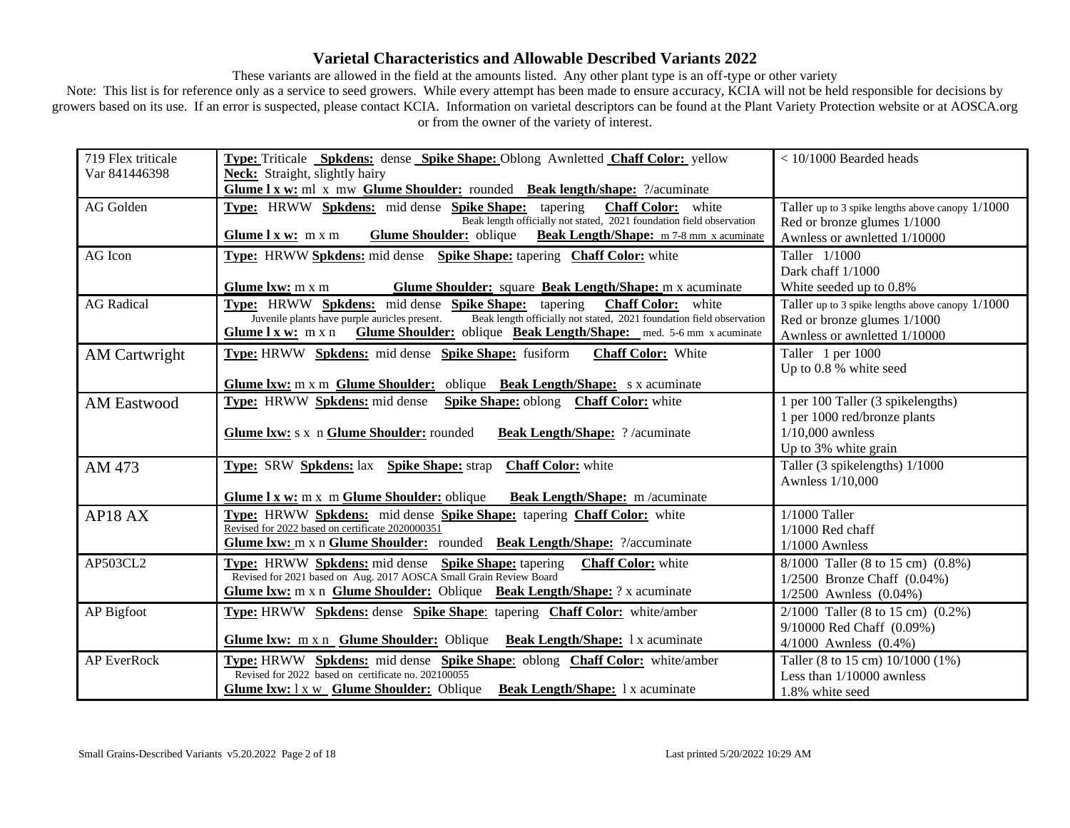These variants are allowed in the field at the amounts listed. Any other plant type is an off-type or other variety

| 719 Flex triticale   | Type: Triticale Spkdens: dense Spike Shape: Oblong Awnletted Chaff Color: yellow                                      | $<$ 10/1000 Bearded heads                        |
|----------------------|-----------------------------------------------------------------------------------------------------------------------|--------------------------------------------------|
| Var 841446398        | Neck: Straight, slightly hairy                                                                                        |                                                  |
|                      | Glume I x w: ml x mw Glume Shoulder: rounded Beak length/shape: ?/acuminate                                           |                                                  |
| AG Golden            | Type: HRWW Spkdens: mid dense Spike Shape: tapering<br><b>Chaff Color:</b> white                                      | Taller up to 3 spike lengths above canopy 1/1000 |
|                      | Beak length officially not stated, 2021 foundation field observation                                                  | Red or bronze glumes 1/1000                      |
|                      | Glume Shoulder: oblique Beak Length/Shape: m 7-8 mm x acuminate<br>Glume $l x w: m x m$                               | Awnless or awnletted 1/10000                     |
| AG Icon              | Type: HRWW Spkdens: mid dense Spike Shape: tapering Chaff Color: white                                                | Taller 1/1000                                    |
|                      |                                                                                                                       | Dark chaff 1/1000                                |
|                      | <b>Glume Shoulder:</b> square <b>Beak Length/Shape:</b> m x acuminate<br>Glume $l x w: m x m$                         | White seeded up to 0.8%                          |
| <b>AG</b> Radical    | Type: HRWW Spkdens: mid dense Spike Shape: tapering<br><b>Chaff Color:</b> white                                      | Taller up to 3 spike lengths above canopy 1/1000 |
|                      | Juvenile plants have purple auricles present.<br>Beak length officially not stated, 2021 foundation field observation | Red or bronze glumes 1/1000                      |
|                      | Glume Shoulder: oblique Beak Length/Shape: med. 5-6 mm x acuminate<br>Glume $l x w: m x n$                            | Awnless or awnletted 1/10000                     |
| <b>AM Cartwright</b> | Type: HRWW Spkdens: mid dense Spike Shape: fusiform<br><b>Chaff Color:</b> White                                      | Taller 1 per 1000                                |
|                      |                                                                                                                       | Up to 0.8 % white seed                           |
|                      | Glume Ixw: m x m Glume Shoulder: oblique Beak Length/Shape: s x acuminate                                             |                                                  |
| <b>AM Eastwood</b>   | Type: HRWW Spkdens: mid dense<br>Spike Shape: oblong Chaff Color: white                                               | 1 per 100 Taller (3 spikelengths)                |
|                      |                                                                                                                       | 1 per 1000 red/bronze plants                     |
|                      | Glume Ixw: s x n Glume Shoulder: rounded<br><b>Beak Length/Shape:</b> ?/acuminate                                     | $1/10,000$ awnless                               |
|                      |                                                                                                                       | Up to 3% white grain                             |
| AM 473               | <b>Type: SRW Spkdens: lax Spike Shape: strap</b><br><b>Chaff Color:</b> white                                         | Taller (3 spikelengths) 1/1000                   |
|                      |                                                                                                                       | Awnless 1/10,000                                 |
|                      | Glume 1 x w: m x m Glume Shoulder: oblique<br><b>Beak Length/Shape:</b> m/acuminate                                   |                                                  |
| AP18 AX              | Type: HRWW Spkdens: mid dense Spike Shape: tapering Chaff Color: white                                                | $1/1000$ Taller                                  |
|                      | Revised for 2022 based on certificate 2020000351                                                                      | $1/1000$ Red chaff                               |
|                      | Glume Ixw: m x n Glume Shoulder: rounded Beak Length/Shape: ?/accuminate                                              | $1/1000$ Awnless                                 |
| AP503CL2             | Type: HRWW Spkdens: mid dense Spike Shape: tapering<br><b>Chaff Color:</b> white                                      | 8/1000 Taller (8 to 15 cm) (0.8%)                |
|                      | Revised for 2021 based on Aug. 2017 AOSCA Small Grain Review Board                                                    | $1/2500$ Bronze Chaff $(0.04\%)$                 |
|                      | Glume Ixw: m x n Glume Shoulder: Oblique Beak Length/Shape: ? x acuminate                                             | $1/2500$ Awnless $(0.04\%)$                      |
| AP Bigfoot           | <b>Type:</b> HRWW Spkdens: dense Spike Shape: tapering Chaff Color: white/amber                                       | $2/1000$ Taller (8 to 15 cm) $(0.2\%)$           |
|                      |                                                                                                                       | 9/10000 Red Chaff (0.09%)                        |
|                      | Glume Ixw: m x n Glume Shoulder: Oblique Beak Length/Shape: 1 x acuminate                                             | 4/1000 Awnless (0.4%)                            |
| <b>AP EverRock</b>   | Type: HRWW Spkdens: mid dense Spike Shape: oblong Chaff Color: white/amber                                            | Taller (8 to 15 cm) 10/1000 (1%)                 |
|                      | Revised for 2022 based on certificate no. 202100055                                                                   | Less than 1/10000 awnless                        |
|                      | <b>Glume Ixw:</b> 1 x w Glume Shoulder: Oblique Beak Length/Shape: 1 x acuminate                                      | 1.8% white seed                                  |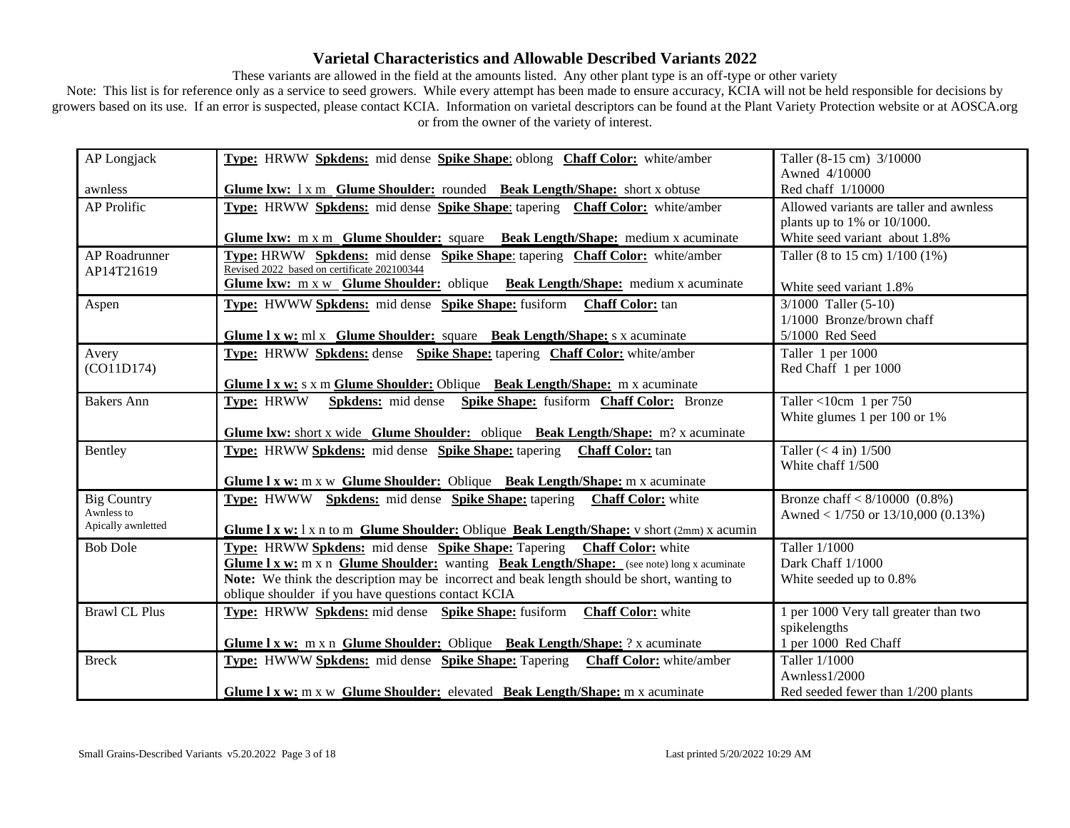These variants are allowed in the field at the amounts listed. Any other plant type is an off-type or other variety

| AP Longjack          | Type: HRWW Spkdens: mid dense Spike Shape: oblong Chaff Color: white/amber                                       | Taller (8-15 cm) 3/10000                |
|----------------------|------------------------------------------------------------------------------------------------------------------|-----------------------------------------|
|                      |                                                                                                                  | Awned 4/10000                           |
| awnless              | Glume Ixw: 1 x m Glume Shoulder: rounded Beak Length/Shape: short x obtuse                                       | Red chaff 1/10000                       |
| AP Prolific          | Type: HRWW Spkdens: mid dense Spike Shape: tapering Chaff Color: white/amber                                     | Allowed variants are taller and awnless |
|                      |                                                                                                                  | plants up to 1% or $10/1000$ .          |
|                      | Glume Ixw: m x m Glume Shoulder: square Beak Length/Shape: medium x acuminate                                    | White seed variant about 1.8%           |
| AP Roadrunner        | Type: HRWW Spkdens: mid dense Spike Shape: tapering Chaff Color: white/amber                                     | Taller (8 to 15 cm) 1/100 (1%)          |
| AP14T21619           | Revised 2022 based on certificate 202100344                                                                      |                                         |
|                      | Glume Ixw: m x w Glume Shoulder: oblique Beak Length/Shape: medium x acuminate                                   | White seed variant 1.8%                 |
| Aspen                | Type: HWWW Spkdens: mid dense Spike Shape: fusiform Chaff Color: tan                                             | $3/1000$ Taller $(5-10)$                |
|                      |                                                                                                                  | 1/1000 Bronze/brown chaff               |
|                      | Glume 1 x w: ml x Glume Shoulder: square Beak Length/Shape: s x acuminate                                        | 5/1000 Red Seed                         |
| Avery                | Type: HRWW Spkdens: dense Spike Shape: tapering Chaff Color: white/amber                                         | Taller 1 per 1000                       |
| (CO11D174)           |                                                                                                                  | Red Chaff 1 per 1000                    |
|                      | <b>Glume 1 x w:</b> s x m <b>Glume Shoulder:</b> Oblique Beak Length/Shape: m x acuminate                        |                                         |
| <b>Bakers Ann</b>    | <b>Type: HRWW</b><br>Spkdens: mid dense Spike Shape: fusiform Chaff Color: Bronze                                | Taller <10cm 1 per $750$                |
|                      |                                                                                                                  | White glumes 1 per 100 or 1%            |
|                      | <b>Glume Ixw:</b> short x wide Glume Shoulder: oblique Beak Length/Shape: m? x acuminate                         |                                         |
| Bentley              | Type: HRWW Spkdens: mid dense Spike Shape: tapering Chaff Color: tan                                             | Taller $(< 4 \text{ in})$ 1/500         |
|                      |                                                                                                                  | White chaff 1/500                       |
|                      | <b>Glume 1 x w:</b> m x w <b>Glume Shoulder:</b> Oblique <b>Beak Length/Shape:</b> m x acuminate                 |                                         |
| <b>Big Country</b>   | Type: HWWW Spkdens: mid dense Spike Shape: tapering Chaff Color: white                                           | Bronze chaff $< 8/10000$ (0.8%)         |
| Awnless to           |                                                                                                                  | Awned < $1/750$ or $13/10,000$ (0.13%)  |
| Apically awnletted   | <b>Glume 1 x w:</b> 1 x n to m <b>Glume Shoulder:</b> Oblique <b>Beak Length/Shape:</b> v short $(2mm)$ x acumin |                                         |
| <b>Bob Dole</b>      | <b>Type:</b> HRWW Spkdens: mid dense Spike Shape: Tapering<br><b>Chaff Color:</b> white                          | Taller 1/1000                           |
|                      | Glume 1 x w: m x n Glume Shoulder: wanting Beak Length/Shape: (see note) long x acuminate                        | Dark Chaff 1/1000                       |
|                      | Note: We think the description may be incorrect and beak length should be short, wanting to                      | White seeded up to 0.8%                 |
|                      | oblique shoulder if you have questions contact KCIA                                                              |                                         |
| <b>Brawl CL Plus</b> | Type: HRWW Spkdens: mid dense Spike Shape: fusiform<br><b>Chaff Color:</b> white                                 | 1 per 1000 Very tall greater than two   |
|                      |                                                                                                                  | spikelengths                            |
|                      | Glume I x w: m x n Glume Shoulder: Oblique Beak Length/Shape: ? x acuminate                                      | 1 per 1000 Red Chaff                    |
| <b>Breck</b>         | Type: HWWW Spkdens: mid dense Spike Shape: Tapering Chaff Color: white/amber                                     | Taller 1/1000                           |
|                      |                                                                                                                  | Awnless1/2000                           |
|                      | Glume I x w: m x w Glume Shoulder: elevated Beak Length/Shape: m x acuminate                                     | Red seeded fewer than 1/200 plants      |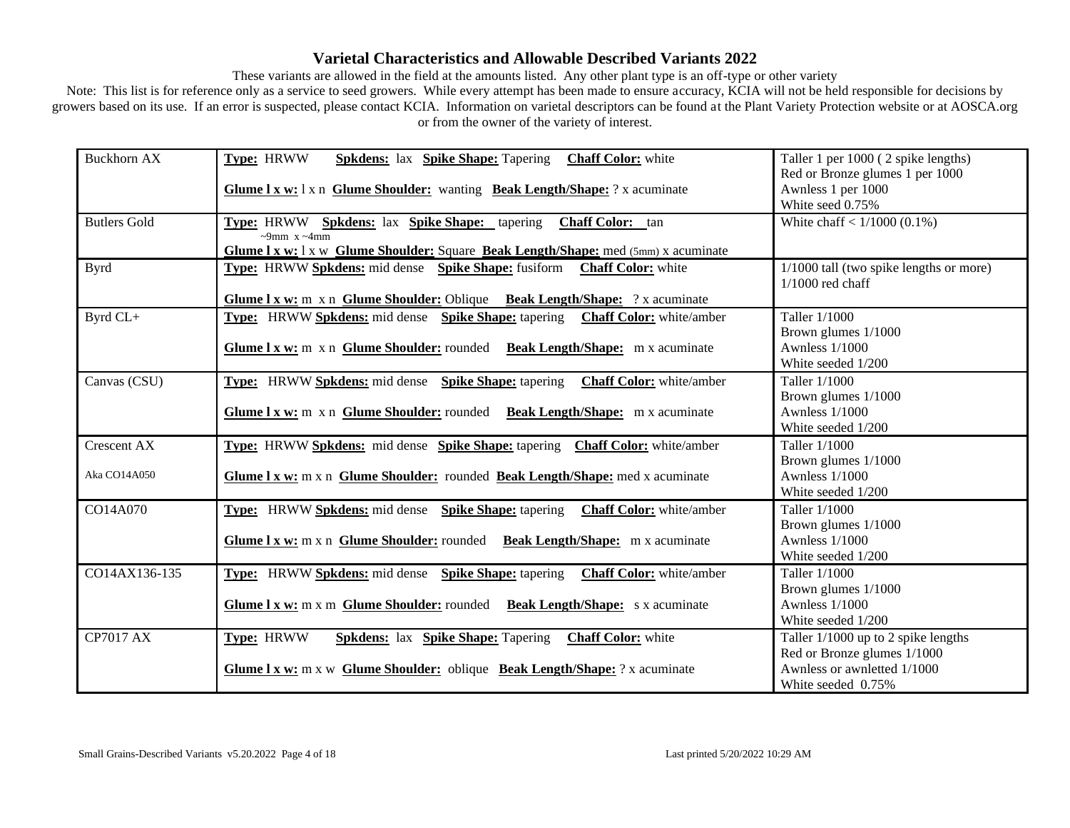These variants are allowed in the field at the amounts listed. Any other plant type is an off-type or other variety

| <b>Buckhorn AX</b>  | Type: HRWW<br><b>Spkdens:</b> lax <b>Spike Shape:</b> Tapering <b>Chaff Color:</b> white                  | Taller 1 per 1000 (2 spike lengths)     |
|---------------------|-----------------------------------------------------------------------------------------------------------|-----------------------------------------|
|                     |                                                                                                           | Red or Bronze glumes 1 per 1000         |
|                     | Glume 1 x w: 1 x n Glume Shoulder: wanting Beak Length/Shape: ? x acuminate                               | Awnless 1 per 1000                      |
|                     |                                                                                                           | White seed 0.75%                        |
| <b>Butlers Gold</b> | Type: HRWW Spkdens: lax Spike Shape: tapering<br><b>Chaff Color:</b> tan                                  | White chaff $< 1/1000 (0.1\%)$          |
|                     | $\sim$ 9mm x $\sim$ 4mm                                                                                   |                                         |
|                     | <b>Glume 1 x w:</b> 1 x w <b>Glume Shoulder:</b> Square <b>Beak Length/Shape:</b> med $(5mn)$ x acuminate |                                         |
| <b>Byrd</b>         | <b>Type:</b> HRWW Spkdens: mid dense Spike Shape: fusiform<br><b>Chaff Color:</b> white                   | 1/1000 tall (two spike lengths or more) |
|                     |                                                                                                           | $1/1000$ red chaff                      |
|                     | Glume I x w: m x n Glume Shoulder: Oblique Beak Length/Shape: ? x acuminate                               |                                         |
| Byrd CL+            | Type: HRWW Spkdens: mid dense Spike Shape: tapering Chaff Color: white/amber                              | Taller 1/1000                           |
|                     |                                                                                                           | Brown glumes 1/1000                     |
|                     | Glume 1 x w: m x n Glume Shoulder: rounded Beak Length/Shape: m x acuminate                               | <b>Awnless 1/1000</b>                   |
|                     |                                                                                                           | White seeded 1/200                      |
| Canvas (CSU)        | Type: HRWW Spkdens: mid dense Spike Shape: tapering<br><b>Chaff Color:</b> white/amber                    | Taller 1/1000                           |
|                     |                                                                                                           | Brown glumes 1/1000                     |
|                     | Glume I x w: m x n Glume Shoulder: rounded Beak Length/Shape: m x acuminate                               | <b>Awnless 1/1000</b>                   |
|                     |                                                                                                           | White seeded 1/200                      |
| Crescent AX         | Type: HRWW Spkdens: mid dense Spike Shape: tapering Chaff Color: white/amber                              | Taller 1/1000                           |
|                     |                                                                                                           | Brown glumes 1/1000                     |
| Aka CO14A050        | Glume I x w: m x n Glume Shoulder: rounded Beak Length/Shape: med x acuminate                             | <b>Awnless 1/1000</b>                   |
|                     |                                                                                                           | White seeded 1/200                      |
| CO14A070            | Type: HRWW Spkdens: mid dense Spike Shape: tapering<br><b>Chaff Color:</b> white/amber                    | Taller 1/1000                           |
|                     |                                                                                                           | Brown glumes 1/1000                     |
|                     | Glume I x w: m x n Glume Shoulder: rounded Beak Length/Shape: m x acuminate                               | Awnless 1/1000                          |
|                     |                                                                                                           | White seeded 1/200                      |
| CO14AX136-135       | Type: HRWW Spkdens: mid dense Spike Shape: tapering<br><b>Chaff Color:</b> white/amber                    | Taller 1/1000                           |
|                     |                                                                                                           | Brown glumes 1/1000                     |
|                     | Glume 1 x w: m x m Glume Shoulder: rounded Beak Length/Shape: s x acuminate                               | Awnless 1/1000                          |
|                     |                                                                                                           | White seeded 1/200                      |
| <b>CP7017 AX</b>    | Type: HRWW<br><b>Spkdens:</b> lax <b>Spike Shape:</b> Tapering<br><b>Chaff Color:</b> white               | Taller 1/1000 up to 2 spike lengths     |
|                     |                                                                                                           | Red or Bronze glumes 1/1000             |
|                     | <b>Glume 1 x w:</b> m x w Glume Shoulder: oblique Beak Length/Shape: ? x acuminate                        | Awnless or awnletted 1/1000             |
|                     |                                                                                                           | White seeded 0.75%                      |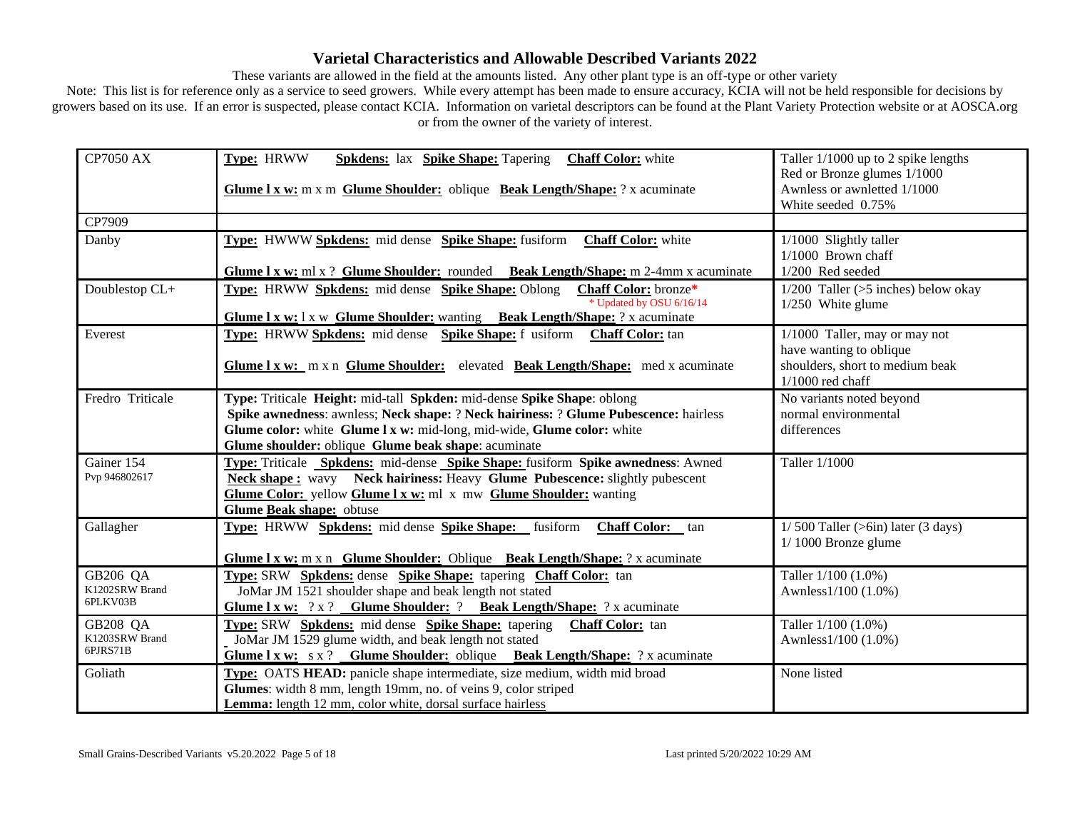These variants are allowed in the field at the amounts listed. Any other plant type is an off-type or other variety

| <b>CP7050 AX</b>                       | Type: HRWW<br><b>Spkdens:</b> lax <b>Spike Shape:</b> Tapering<br><b>Chaff Color:</b> white                                                                                                                                                                                                     | Taller 1/1000 up to 2 spike lengths                                                                               |
|----------------------------------------|-------------------------------------------------------------------------------------------------------------------------------------------------------------------------------------------------------------------------------------------------------------------------------------------------|-------------------------------------------------------------------------------------------------------------------|
|                                        | Glume I x w: m x m Glume Shoulder: oblique Beak Length/Shape: ? x acuminate                                                                                                                                                                                                                     | Red or Bronze glumes 1/1000<br>Awnless or awnletted 1/1000<br>White seeded 0.75%                                  |
| CP7909                                 |                                                                                                                                                                                                                                                                                                 |                                                                                                                   |
| Danby                                  | Type: HWWW Spkdens: mid dense Spike Shape: fusiform<br><b>Chaff Color:</b> white<br><b>Glume 1 x w:</b> ml x ? <b>Glume Shoulder:</b> rounded <b>Beak Length/Shape:</b> m 2-4mm x acuminate                                                                                                     | 1/1000 Slightly taller<br>$1/1000$ Brown chaff<br>1/200 Red seeded                                                |
| Doublestop CL+                         | <b>Type:</b> HRWW <b>Spkdens:</b> mid dense <b>Spike Shape:</b> Oblong<br>Chaff Color: bronze*<br>* Updated by OSU 6/16/14<br><b>Glume 1 x w:</b> 1 x w Glume Shoulder: wanting Beak Length/Shape: ? x acuminate                                                                                | $1/200$ Taller (>5 inches) below okay<br>1/250 White glume                                                        |
| Everest                                | Type: HRWW Spkdens: mid dense Spike Shape: f usiform Chaff Color: tan<br>Glume 1 x w: m x n Glume Shoulder: elevated Beak Length/Shape: med x acuminate                                                                                                                                         | 1/1000 Taller, may or may not<br>have wanting to oblique<br>shoulders, short to medium beak<br>$1/1000$ red chaff |
| Fredro Triticale                       | Type: Triticale Height: mid-tall Spkden: mid-dense Spike Shape: oblong<br>Spike awnedness: awnless; Neck shape: ? Neck hairiness: ? Glume Pubescence: hairless<br>Glume color: white Glume I x w: mid-long, mid-wide, Glume color: white<br>Glume shoulder: oblique Glume beak shape: acuminate | No variants noted beyond<br>normal environmental<br>differences                                                   |
| Gainer 154<br>Pvp 946802617            | Type: Triticale Spkdens: mid-dense Spike Shape: fusiform Spike awnedness: Awned<br><b>Neck shape:</b> wavy Neck hairiness: Heavy Glume Pubescence: slightly pubescent<br>Glume Color: yellow Glume I x w: ml x mw Glume Shoulder: wanting<br>Glume Beak shape: obtuse                           | Taller 1/1000                                                                                                     |
| Gallagher                              | Type: HRWW Spkdens: mid dense Spike Shape: fusiform<br><b>Chaff Color:</b> tan<br>Glume 1 x w: m x n Glume Shoulder: Oblique Beak Length/Shape: ? x acuminate                                                                                                                                   | $1/500$ Taller (>6in) later (3 days)<br>$1/1000$ Bronze glume                                                     |
| GB206 QA<br>K1202SRW Brand<br>6PLKV03B | Type: SRW Spkdens: dense Spike Shape: tapering Chaff Color: tan<br>JoMar JM 1521 shoulder shape and beak length not stated<br>Glume I x w: ? x ? Glume Shoulder: ? Beak Length/Shape: ? x acuminate                                                                                             | Taller 1/100 (1.0%)<br>Awnless1/100 (1.0%)                                                                        |
| GB208 QA<br>K1203SRW Brand<br>6PJRS71B | Type: SRW Spkdens: mid dense Spike Shape: tapering Chaff Color: tan<br>JoMar JM 1529 glume width, and beak length not stated<br>Glume I x w: s x ? Glume Shoulder: oblique Beak Length/Shape: ? x acuminate                                                                                     | Taller 1/100 (1.0%)<br>Awnless1/100 (1.0%)                                                                        |
| Goliath                                | Type: OATS HEAD: panicle shape intermediate, size medium, width mid broad<br>Glumes: width 8 mm, length 19mm, no. of veins 9, color striped<br>Lemma: length 12 mm, color white, dorsal surface hairless                                                                                        | None listed                                                                                                       |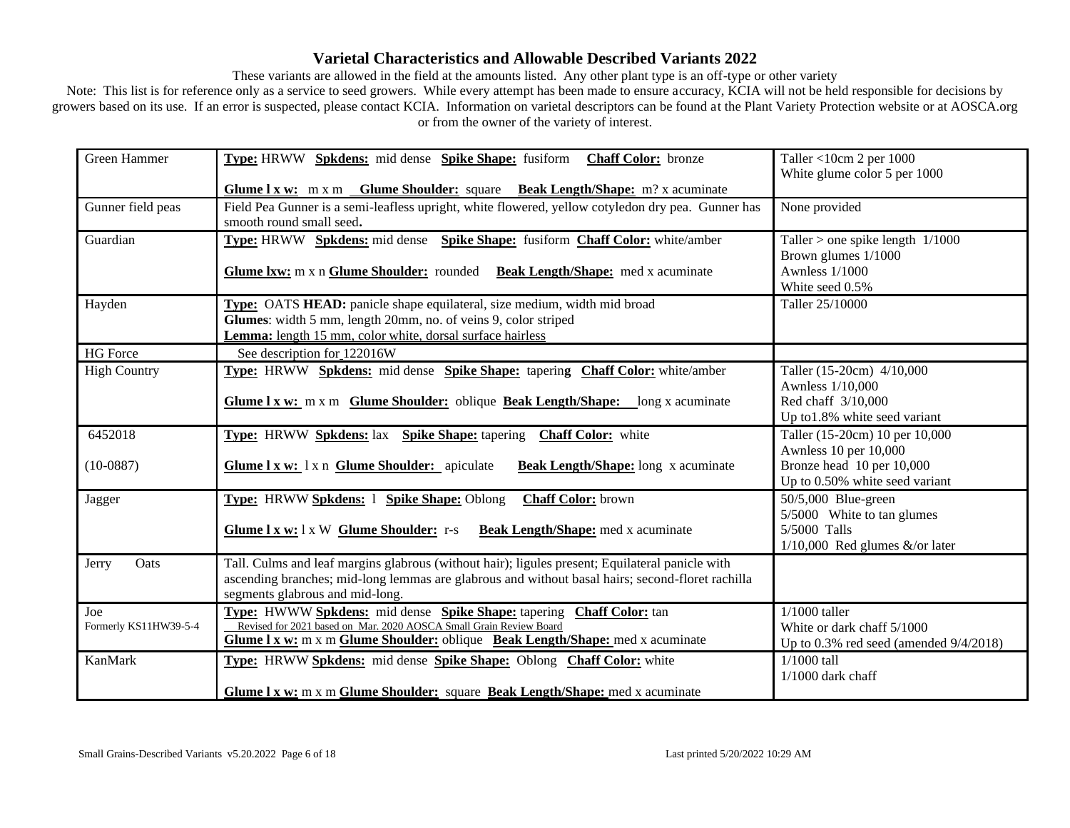These variants are allowed in the field at the amounts listed. Any other plant type is an off-type or other variety

| Green Hammer                 | Type: HRWW Spkdens: mid dense Spike Shape: fusiform Chaff Color: bronze                                                                                                                                                                          | Taller <10cm 2 per 1000                                                                       |
|------------------------------|--------------------------------------------------------------------------------------------------------------------------------------------------------------------------------------------------------------------------------------------------|-----------------------------------------------------------------------------------------------|
|                              |                                                                                                                                                                                                                                                  | White glume color 5 per 1000                                                                  |
|                              | <b>Glume 1 x w:</b> m x m <b>Glume Shoulder:</b> square <b>Beak Length/Shape:</b> m? x acuminate                                                                                                                                                 |                                                                                               |
| Gunner field peas            | Field Pea Gunner is a semi-leafless upright, white flowered, yellow cotyledon dry pea. Gunner has<br>smooth round small seed.                                                                                                                    | None provided                                                                                 |
| Guardian                     | <b>Type:</b> HRWW Spkdens: mid dense Spike Shape: fusiform Chaff Color: white/amber                                                                                                                                                              | Taller $>$ one spike length $1/1000$<br>Brown glumes 1/1000                                   |
|                              | Glume Ixw: m x n Glume Shoulder: rounded Beak Length/Shape: med x acuminate                                                                                                                                                                      | <b>Awnless 1/1000</b><br>White seed 0.5%                                                      |
| Hayden                       | Type: OATS HEAD: panicle shape equilateral, size medium, width mid broad                                                                                                                                                                         | Taller 25/10000                                                                               |
|                              | Glumes: width 5 mm, length 20mm, no. of veins 9, color striped<br>Lemma: length 15 mm, color white, dorsal surface hairless                                                                                                                      |                                                                                               |
| <b>HG</b> Force              | See description for 122016W                                                                                                                                                                                                                      |                                                                                               |
| <b>High Country</b>          | Type: HRWW Spkdens: mid dense Spike Shape: tapering Chaff Color: white/amber                                                                                                                                                                     | Taller (15-20cm) 4/10,000<br>Awnless 1/10,000                                                 |
|                              | <b>Glume 1 x w:</b> m x m <b>Glume Shoulder:</b> oblique <b>Beak Length/Shape:</b> long x acuminate                                                                                                                                              | Red chaff 3/10,000<br>Up to 1.8% white seed variant                                           |
| 6452018                      | <b>Type:</b> HRWW <b>Spkdens:</b> lax <b>Spike Shape:</b> tapering<br><b>Chaff Color:</b> white                                                                                                                                                  | Taller (15-20cm) 10 per 10,000<br>Awnless 10 per 10,000                                       |
| $(10-0887)$                  | Glume 1 x w: 1 x n Glume Shoulder: apiculate<br><b>Beak Length/Shape:</b> long x acuminate                                                                                                                                                       | Bronze head 10 per 10,000<br>Up to 0.50% white seed variant                                   |
| Jagger                       | Type: HRWW Spkdens: 1 Spike Shape: Oblong<br><b>Chaff Color:</b> brown                                                                                                                                                                           | 50/5,000 Blue-green<br>5/5000 White to tan glumes                                             |
|                              | Glume I x w: 1 x W Glume Shoulder: r-s<br><b>Beak Length/Shape:</b> med x acuminate                                                                                                                                                              | 5/5000 Talls<br>$1/10,000$ Red glumes &/or later                                              |
| Oats<br>Jerry                | Tall. Culms and leaf margins glabrous (without hair); ligules present; Equilateral panicle with<br>ascending branches; mid-long lemmas are glabrous and without basal hairs; second-floret rachilla<br>segments glabrous and mid-long.           |                                                                                               |
| Joe<br>Formerly KS11HW39-5-4 | Type: HWWW Spkdens: mid dense Spike Shape: tapering Chaff Color: tan<br>Revised for 2021 based on Mar. 2020 AOSCA Small Grain Review Board<br><b>Glume 1 x w:</b> m x m <b>Glume Shoulder:</b> oblique <b>Beak Length/Shape:</b> med x acuminate | $1/1000$ taller<br>White or dark chaff 5/1000<br>Up to $0.3\%$ red seed (amended $9/4/2018$ ) |
| <b>KanMark</b>               | Type: HRWW Spkdens: mid dense Spike Shape: Oblong Chaff Color: white                                                                                                                                                                             | 1/1000 tall<br>$1/1000$ dark chaff                                                            |
|                              | Glume 1 x w: m x m Glume Shoulder: square Beak Length/Shape: med x acuminate                                                                                                                                                                     |                                                                                               |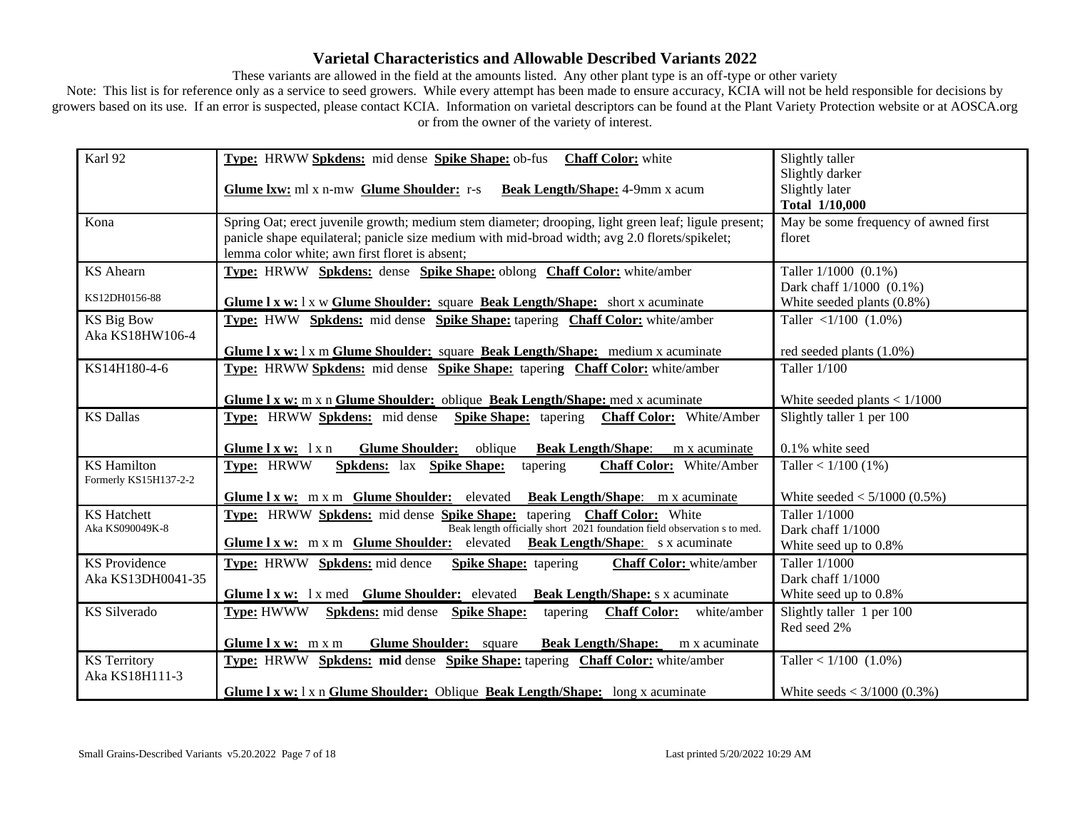These variants are allowed in the field at the amounts listed. Any other plant type is an off-type or other variety

| Karl 92               | Type: HRWW Spkdens: mid dense Spike Shape: ob-fus Chaff Color: white                                                                                     | Slightly taller                      |
|-----------------------|----------------------------------------------------------------------------------------------------------------------------------------------------------|--------------------------------------|
|                       |                                                                                                                                                          | Slightly darker                      |
|                       | <b>Glume Ixw:</b> ml x n-mw <b>Glume Shoulder:</b> r-s <b>Beak Length/Shape:</b> 4-9mm x acum                                                            | Slightly later                       |
|                       |                                                                                                                                                          | Total 1/10,000                       |
| Kona                  | Spring Oat; erect juvenile growth; medium stem diameter; drooping, light green leaf; ligule present;                                                     | May be some frequency of awned first |
|                       | panicle shape equilateral; panicle size medium with mid-broad width; avg 2.0 florets/spikelet;                                                           | floret                               |
|                       | lemma color white; awn first floret is absent;                                                                                                           |                                      |
| <b>KS</b> Ahearn      | Type: HRWW Spkdens: dense Spike Shape: oblong Chaff Color: white/amber                                                                                   | Taller 1/1000 (0.1%)                 |
| KS12DH0156-88         |                                                                                                                                                          | Dark chaff 1/1000 (0.1%)             |
|                       | Glume I x w: 1 x w Glume Shoulder: square Beak Length/Shape: short x acuminate                                                                           | White seeded plants (0.8%)           |
| <b>KS Big Bow</b>     | Type: HWW Spkdens: mid dense Spike Shape: tapering Chaff Color: white/amber                                                                              | Taller $\langle 1/100 (1.0\%)$       |
| Aka KS18HW106-4       |                                                                                                                                                          |                                      |
|                       | Glume I x w: 1 x m Glume Shoulder: square Beak Length/Shape: medium x acuminate                                                                          | red seeded plants $(1.0\%)$          |
| KS14H180-4-6          | <b>Type:</b> HRWW Spkdens: mid dense Spike Shape: tapering Chaff Color: white/amber                                                                      | Taller 1/100                         |
|                       |                                                                                                                                                          |                                      |
|                       | Glume 1 x w: m x n Glume Shoulder: oblique Beak Length/Shape: med x acuminate                                                                            | White seeded plants $< 1/1000$       |
| <b>KS Dallas</b>      | Type: HRWW Spkdens: mid dense Spike Shape: tapering Chaff Color: White/Amber                                                                             | Slightly taller 1 per 100            |
|                       |                                                                                                                                                          |                                      |
|                       | <b>Glume Shoulder:</b><br>Glume $l x w: l x n$<br><b>Beak Length/Shape:</b><br>oblique<br>m x acuminate                                                  | 0.1% white seed                      |
| <b>KS</b> Hamilton    | Type: HRWW<br><b>Spkdens:</b> lax <b>Spike Shape:</b><br>Chaff Color: White/Amber<br>tapering                                                            | Taller < $1/100$ (1%)                |
| Formerly KS15H137-2-2 |                                                                                                                                                          |                                      |
|                       | Glume I x w: m x m Glume Shoulder: elevated Beak Length/Shape: m x acuminate                                                                             | White seeded $< 5/1000 (0.5\%)$      |
| <b>KS</b> Hatchett    | Type: HRWW Spkdens: mid dense Spike Shape: tapering Chaff Color: White                                                                                   | Taller 1/1000                        |
| Aka KS090049K-8       | Beak length officially short 2021 foundation field observation s to med.<br>Glume 1 x w: m x m Glume Shoulder: elevated Beak Length/Shape: s x acuminate | Dark chaff 1/1000                    |
|                       |                                                                                                                                                          | White seed up to 0.8%                |
| <b>KS</b> Providence  | <b>Type:</b> HRWW <b>Spkdens:</b> mid dence<br><b>Spike Shape:</b> tapering<br><b>Chaff Color:</b> white/amber                                           | Taller 1/1000                        |
| Aka KS13DH0041-35     |                                                                                                                                                          | Dark chaff 1/1000                    |
|                       | Glume I x w: 1 x med Glume Shoulder: elevated Beak Length/Shape: s x acuminate                                                                           | White seed up to 0.8%                |
| KS Silverado          | <b>Type: HWWW</b><br><b>Spkdens:</b> mid dense <b>Spike Shape:</b><br><b>Chaff Color:</b><br>white/amber<br>tapering                                     | Slightly taller 1 per 100            |
|                       |                                                                                                                                                          | Red seed 2%                          |
|                       | <b>Glume Shoulder:</b> square<br><b>Beak Length/Shape:</b><br>Glume $l x w: m x m$<br>m x acuminate                                                      |                                      |
| <b>KS</b> Territory   | Type: HRWW Spkdens: mid dense Spike Shape: tapering Chaff Color: white/amber                                                                             | Taller < $1/100$ (1.0%)              |
| Aka KS18H111-3        |                                                                                                                                                          |                                      |
|                       | Glume I x w: 1 x n Glume Shoulder: Oblique Beak Length/Shape: long x acuminate                                                                           | White seeds < $3/1000$ (0.3%)        |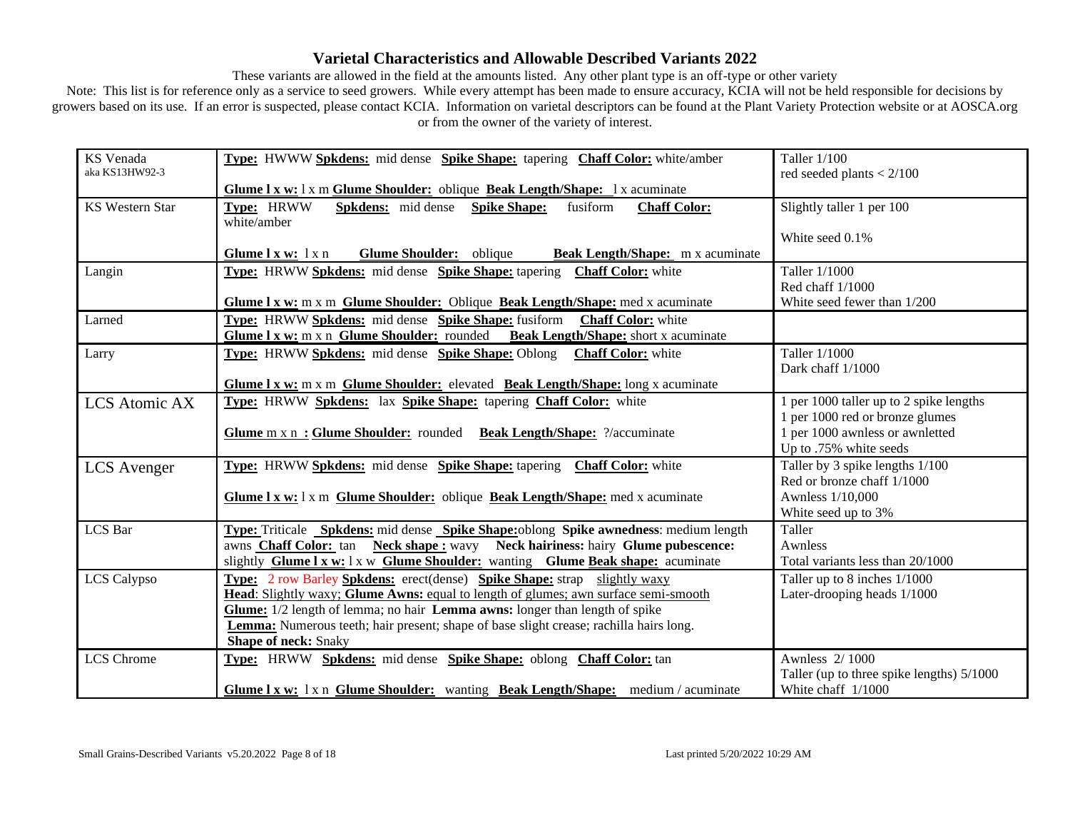These variants are allowed in the field at the amounts listed. Any other plant type is an off-type or other variety

| KS Venada              | Type: HWWW Spkdens: mid dense Spike Shape: tapering Chaff Color: white/amber                                                                                            | Taller 1/100                                                |
|------------------------|-------------------------------------------------------------------------------------------------------------------------------------------------------------------------|-------------------------------------------------------------|
| aka KS13HW92-3         |                                                                                                                                                                         | red seeded plants $< 2/100$                                 |
|                        | Glume 1 x w: 1 x m Glume Shoulder: oblique Beak Length/Shape: 1 x acuminate                                                                                             |                                                             |
| <b>KS Western Star</b> | Type: HRWW<br><b>Spkdens:</b> mid dense<br><b>Spike Shape:</b><br>fusiform<br><b>Chaff Color:</b>                                                                       | Slightly taller 1 per 100                                   |
|                        | white/amber                                                                                                                                                             |                                                             |
|                        |                                                                                                                                                                         | White seed 0.1%                                             |
|                        | Glume 1 x w: 1 x n<br>Glume Shoulder: oblique<br>Beak Length/Shape: m x acuminate                                                                                       |                                                             |
| Langin                 | Type: HRWW Spkdens: mid dense Spike Shape: tapering Chaff Color: white                                                                                                  | Taller 1/1000                                               |
|                        |                                                                                                                                                                         | Red chaff 1/1000                                            |
|                        | Glume 1 x w: m x m Glume Shoulder: Oblique Beak Length/Shape: med x acuminate                                                                                           | White seed fewer than 1/200                                 |
| Larned                 | Type: HRWW Spkdens: mid dense Spike Shape: fusiform Chaff Color: white                                                                                                  |                                                             |
|                        | Glume 1 x w; m x n Glume Shoulder: rounded Beak Length/Shape: short x acuminate                                                                                         |                                                             |
| Larry                  | Type: HRWW Spkdens: mid dense Spike Shape: Oblong Chaff Color: white                                                                                                    | Taller 1/1000                                               |
|                        |                                                                                                                                                                         | Dark chaff 1/1000                                           |
|                        | Glume 1 x w: m x m Glume Shoulder: elevated Beak Length/Shape: long x acuminate                                                                                         |                                                             |
| <b>LCS</b> Atomic AX   | Type: HRWW Spkdens: lax Spike Shape: tapering Chaff Color: white                                                                                                        | 1 per 1000 taller up to 2 spike lengths                     |
|                        |                                                                                                                                                                         | 1 per 1000 red or bronze glumes                             |
|                        | Glume m x n: Glume Shoulder: rounded Beak Length/Shape: ?/accuminate                                                                                                    | 1 per 1000 awnless or awnletted                             |
|                        |                                                                                                                                                                         | Up to .75% white seeds                                      |
| <b>LCS</b> Avenger     | Type: HRWW Spkdens: mid dense Spike Shape: tapering Chaff Color: white                                                                                                  | Taller by 3 spike lengths 1/100                             |
|                        |                                                                                                                                                                         | Red or bronze chaff 1/1000                                  |
|                        | Glume 1 x w: 1 x m Glume Shoulder: oblique Beak Length/Shape: med x acuminate                                                                                           | Awnless 1/10,000                                            |
|                        |                                                                                                                                                                         | White seed up to 3%                                         |
| LCS Bar                | <b>Type:</b> Triticale <b>Spkdens:</b> mid dense <b>Spike Shape:</b> oblong <b>Spike awnedness</b> : medium length                                                      | Taller<br>Awnless                                           |
|                        | awns Chaff Color: tan Neck shape : wavy Neck hairiness: hairy Glume pubescence:<br>slightly Glume I x w: 1 x w Glume Shoulder: wanting Glume Beak shape: acuminate      | Total variants less than 20/1000                            |
|                        |                                                                                                                                                                         |                                                             |
| LCS Calypso            | <b>Type:</b> 2 row Barley Spkdens: erect(dense) Spike Shape: strap slightly waxy<br>Head: Slightly waxy; Glume Awns: equal to length of glumes; awn surface semi-smooth | Taller up to 8 inches 1/1000<br>Later-drooping heads 1/1000 |
|                        | Glume: 1/2 length of lemma; no hair Lemma awns: longer than length of spike                                                                                             |                                                             |
|                        | <b>Lemma:</b> Numerous teeth; hair present; shape of base slight crease; rachilla hairs long.                                                                           |                                                             |
|                        | <b>Shape of neck: Snaky</b>                                                                                                                                             |                                                             |
| <b>LCS</b> Chrome      | Type: HRWW Spkdens: mid dense Spike Shape: oblong Chaff Color: tan                                                                                                      | Awnless 2/1000                                              |
|                        |                                                                                                                                                                         | Taller (up to three spike lengths) 5/1000                   |
|                        | Glume 1 x w: 1 x n Glume Shoulder: wanting Beak Length/Shape: medium / acuminate                                                                                        | White chaff 1/1000                                          |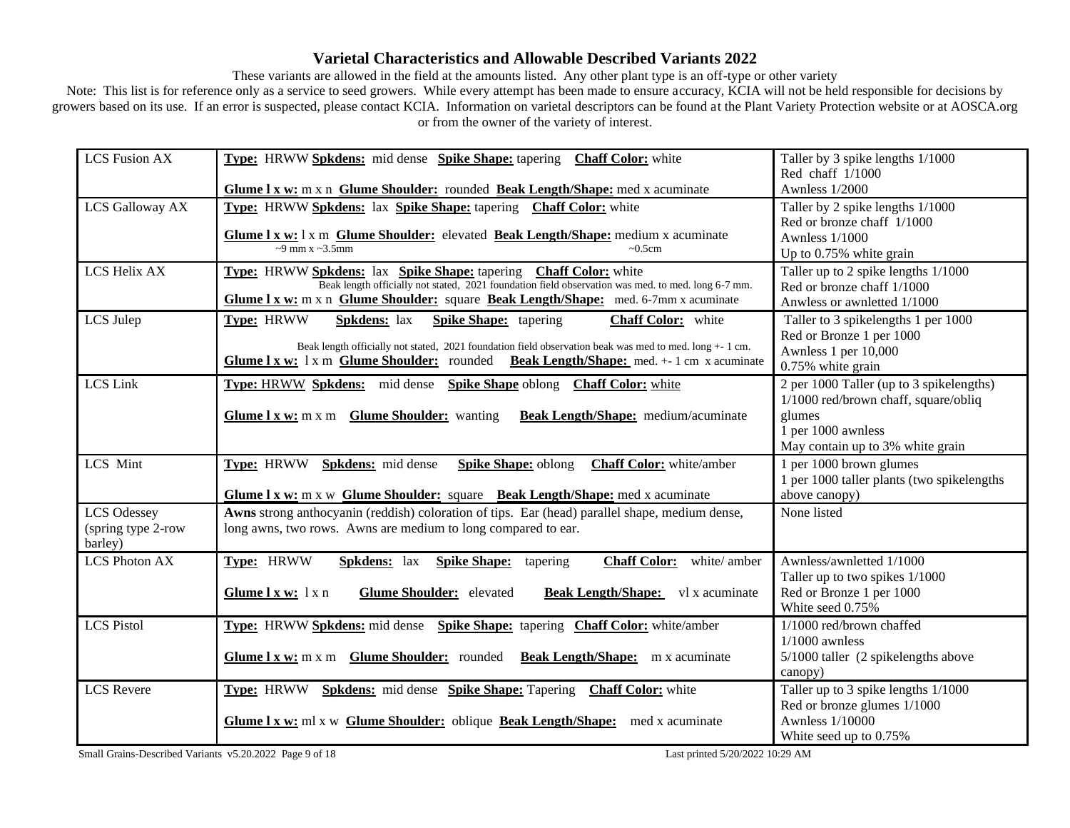These variants are allowed in the field at the amounts listed. Any other plant type is an off-type or other variety

Note: This list is for reference only as a service to seed growers. While every attempt has been made to ensure accuracy, KCIA will not be held responsible for decisions by growers based on its use. If an error is suspected, please contact KCIA. Information on varietal descriptors can be found at the Plant Variety Protection website or at AOSCA.org or from the owner of the variety of interest.

| <b>LCS Fusion AX</b> | Type: HRWW Spkdens: mid dense Spike Shape: tapering Chaff Color: white                                  | Taller by 3 spike lengths 1/1000           |
|----------------------|---------------------------------------------------------------------------------------------------------|--------------------------------------------|
|                      |                                                                                                         | Red chaff $1/1000$                         |
|                      | Glume I x w: m x n Glume Shoulder: rounded Beak Length/Shape: med x acuminate                           | <b>Awnless 1/2000</b>                      |
| LCS Galloway AX      | Type: HRWW Spkdens: lax Spike Shape: tapering Chaff Color: white                                        | Taller by 2 spike lengths 1/1000           |
|                      |                                                                                                         | Red or bronze chaff 1/1000                 |
|                      | Glume 1 x w: 1 x m Glume Shoulder: elevated Beak Length/Shape: medium x acuminate                       | <b>Awnless 1/1000</b>                      |
|                      | $\sim$ 9 mm x $\sim$ 3.5mm<br>$\sim 0.5$ cm                                                             | Up to 0.75% white grain                    |
| LCS Helix AX         | Type: HRWW Spkdens: lax Spike Shape: tapering Chaff Color: white                                        | Taller up to 2 spike lengths 1/1000        |
|                      | Beak length officially not stated, 2021 foundation field observation was med. to med. long 6-7 mm.      | Red or bronze chaff 1/1000                 |
|                      | Glume 1 x w: m x n Glume Shoulder: square Beak Length/Shape: med. 6-7mm x acuminate                     | Anwless or awnletted 1/1000                |
| LCS Julep            | Type: HRWW<br><b>Spkdens:</b> lax<br><b>Spike Shape:</b> tapering<br><b>Chaff Color:</b> white          | Taller to 3 spikelengths 1 per 1000        |
|                      |                                                                                                         | Red or Bronze 1 per 1000                   |
|                      | Beak length officially not stated, 2021 foundation field observation beak was med to med. long $+1$ cm. | Awnless 1 per 10,000                       |
|                      | Glume I x w: 1 x m Glume Shoulder: rounded Beak Length/Shape: med. + 1 cm x acuminate                   | 0.75% white grain                          |
| <b>LCS</b> Link      | Type: HRWW Spkdens: mid dense Spike Shape oblong Chaff Color: white                                     | 2 per 1000 Taller (up to 3 spikelengths)   |
|                      |                                                                                                         | $1/1000$ red/brown chaff, square/obliq     |
|                      | <b>Glume 1 x w:</b> m x m <b>Glume Shoulder:</b> wanting<br>Beak Length/Shape: medium/acuminate         | glumes                                     |
|                      |                                                                                                         | 1 per 1000 awnless                         |
|                      |                                                                                                         | May contain up to 3% white grain           |
| LCS Mint             | Type: HRWW Spkdens: mid dense<br><b>Spike Shape: oblong</b><br><b>Chaff Color:</b> white/amber          | 1 per 1000 brown glumes                    |
|                      |                                                                                                         | 1 per 1000 taller plants (two spikelengths |
|                      | <b>Glume 1 x w:</b> m x w <b>Glume Shoulder:</b> square <b>Beak Length/Shape:</b> med x acuminate       | above canopy)                              |
| <b>LCS Odessey</b>   | Awns strong anthocyanin (reddish) coloration of tips. Ear (head) parallel shape, medium dense,          | None listed                                |
| (spring type 2-row   | long awns, two rows. Awns are medium to long compared to ear.                                           |                                            |
| barley)              |                                                                                                         |                                            |
| <b>LCS Photon AX</b> | Type: HRWW<br>Chaff Color: white/amber<br>Spkdens: lax<br><b>Spike Shape:</b> tapering                  | Awnless/awnletted 1/1000                   |
|                      |                                                                                                         | Taller up to two spikes 1/1000             |
|                      | <b>Glume Shoulder:</b> elevated<br>Beak Length/Shape: vl x acuminate<br>Glume l x w: l x n              | Red or Bronze 1 per 1000                   |
|                      |                                                                                                         | White seed 0.75%                           |
| <b>LCS Pistol</b>    | <b>Type:</b> HRWW Spkdens: mid dense Spike Shape: tapering Chaff Color: white/amber                     | 1/1000 red/brown chaffed                   |
|                      |                                                                                                         | $1/1000$ awnless                           |
|                      | Glume 1 x w: m x m Glume Shoulder: rounded Beak Length/Shape: m x acuminate                             | 5/1000 taller (2 spikelengths above        |
|                      |                                                                                                         | canopy)                                    |
| <b>LCS</b> Revere    | Type: HRWW Spkdens: mid dense Spike Shape: Tapering Chaff Color: white                                  | Taller up to 3 spike lengths 1/1000        |
|                      |                                                                                                         | Red or bronze glumes 1/1000                |
|                      | <b>Glume 1 x w:</b> ml x w Glume Shoulder: oblique Beak Length/Shape:<br>med x acuminate                | <b>Awnless 1/10000</b>                     |
|                      |                                                                                                         | White seed up to 0.75%                     |

Small Grains-Described Variants v5.20.2022 Page 9 of 18 Last printed 5/20/2022 10:29 AM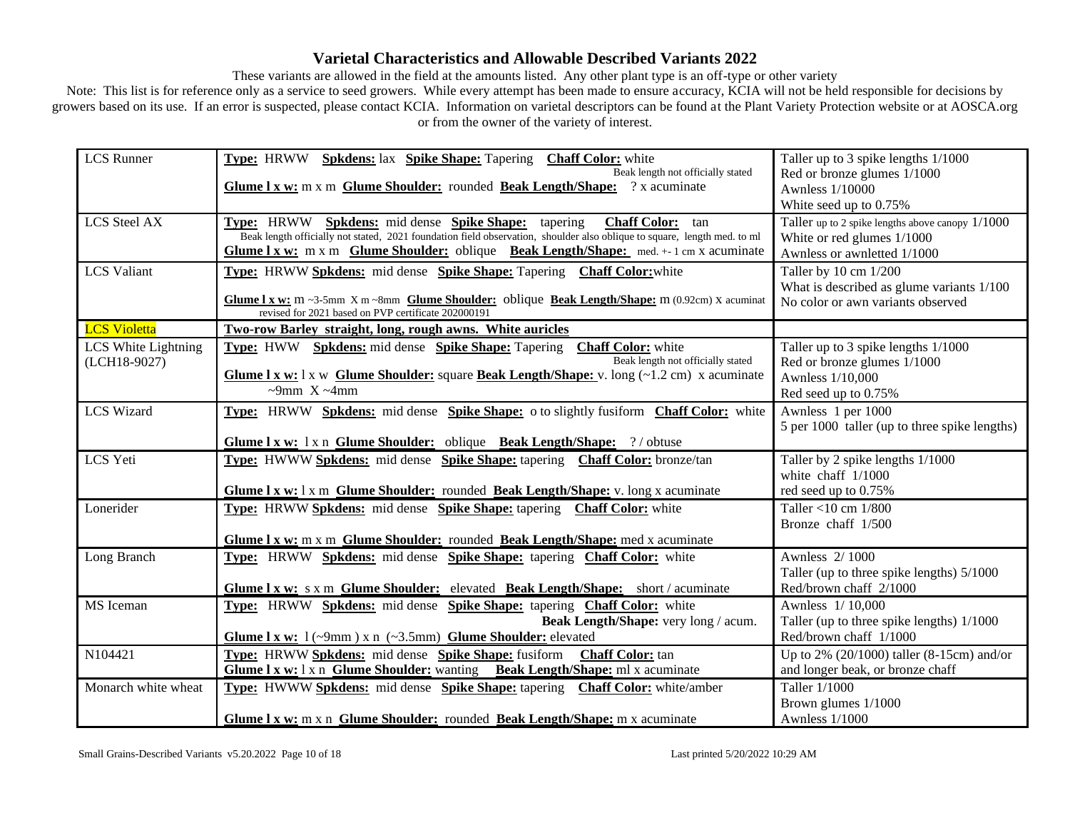These variants are allowed in the field at the amounts listed. Any other plant type is an off-type or other variety

| <b>LCS</b> Runner   | Type: HRWW Spkdens: lax Spike Shape: Tapering Chaff Color: white<br>Beak length not officially stated                                                | Taller up to 3 spike lengths 1/1000<br>Red or bronze glumes 1/1000 |
|---------------------|------------------------------------------------------------------------------------------------------------------------------------------------------|--------------------------------------------------------------------|
|                     | Glume 1 x w: m x m Glume Shoulder: rounded Beak Length/Shape: ? x acuminate                                                                          | Awnless 1/10000                                                    |
|                     |                                                                                                                                                      | White seed up to 0.75%                                             |
| <b>LCS</b> Steel AX | Type: HRWW Spkdens: mid dense Spike Shape: tapering<br><b>Chaff Color:</b><br>tan                                                                    | Taller up to 2 spike lengths above can opy 1/1000                  |
|                     | Beak length officially not stated, 2021 foundation field observation, shoulder also oblique to square, length med. to ml                             | White or red glumes 1/1000                                         |
|                     | Glume $l x w$ : m x m Glume Shoulder: oblique Beak Length/Shape: med. $+1$ cm x acuminate                                                            | Awnless or awnletted 1/1000                                        |
| <b>LCS</b> Valiant  | <b>Type:</b> HRWW Spkdens: mid dense Spike Shape: Tapering Chaff Color: white                                                                        | Taller by 10 cm 1/200                                              |
|                     | Glume 1 x w: m ~3-5mm X m ~8mm Glume Shoulder: oblique Beak Length/Shape: m (0.92cm) X acuminat                                                      | What is described as glume variants 1/100                          |
|                     | revised for 2021 based on PVP certificate 202000191                                                                                                  | No color or awn variants observed                                  |
| <b>LCS Violetta</b> | Two-row Barley straight, long, rough awns. White auricles                                                                                            |                                                                    |
| LCS White Lightning | Type: HWW Spkdens: mid dense Spike Shape: Tapering<br>Chaff Color: white                                                                             | Taller up to 3 spike lengths 1/1000                                |
| (LCH18-9027)        | Beak length not officially stated                                                                                                                    | Red or bronze glumes 1/1000                                        |
|                     | <b>Glume 1 x w:</b> 1 x w <b>Glume Shoulder:</b> square <b>Beak Length/Shape:</b> v. long $(-1.2 \text{ cm})$ x acuminate<br>$\sim$ 9mm X $\sim$ 4mm | Awnless 1/10,000                                                   |
|                     |                                                                                                                                                      | Red seed up to 0.75%                                               |
| <b>LCS Wizard</b>   | <b>Type:</b> HRWW Spkdens: mid dense Spike Shape: 0 to slightly fusiform Chaff Color: white                                                          | Awnless 1 per 1000                                                 |
|                     |                                                                                                                                                      | 5 per 1000 taller (up to three spike lengths)                      |
|                     | Glume I x w: 1 x n Glume Shoulder: oblique Beak Length/Shape: ?/ obtuse                                                                              |                                                                    |
| LCS Yeti            | Type: HWWW Spkdens: mid dense Spike Shape: tapering Chaff Color: bronze/tan                                                                          | Taller by 2 spike lengths 1/1000                                   |
|                     |                                                                                                                                                      | white chaff $1/1000$                                               |
| Lonerider           | <b>Glume 1 x w:</b> 1 x m Glume Shoulder: rounded Beak Length/Shape: v. long x acuminate                                                             | red seed up to 0.75%<br>Taller <10 cm $1/800$                      |
|                     | Type: HRWW Spkdens: mid dense Spike Shape: tapering Chaff Color: white                                                                               | Bronze chaff 1/500                                                 |
|                     | Glume I x w: m x m Glume Shoulder: rounded Beak Length/Shape: med x acuminate                                                                        |                                                                    |
| Long Branch         | Type: HRWW Spkdens: mid dense Spike Shape: tapering Chaff Color: white                                                                               | Awnless 2/1000                                                     |
|                     |                                                                                                                                                      | Taller (up to three spike lengths) 5/1000                          |
|                     | Glume I x w: s x m Glume Shoulder: elevated Beak Length/Shape: short / acuminate                                                                     | Red/brown chaff 2/1000                                             |
| MS Iceman           | Type: HRWW Spkdens: mid dense Spike Shape: tapering Chaff Color: white                                                                               | Awnless 1/10,000                                                   |
|                     | Beak Length/Shape: very long / acum.                                                                                                                 | Taller (up to three spike lengths) 1/1000                          |
|                     | Glume 1 x w: $1$ (~9mm) x n (~3.5mm) Glume Shoulder: elevated                                                                                        | Red/brown chaff 1/1000                                             |
| N104421             | <b>Type:</b> HRWW Spkdens: mid dense Spike Shape: fusiform<br><b>Chaff Color:</b> tan                                                                | Up to 2% (20/1000) taller (8-15cm) and/or                          |
|                     | <b>Glume 1 x w:</b> 1 x n Glume Shoulder: wanting Beak Length/Shape: ml x acuminate                                                                  | and longer beak, or bronze chaff                                   |
| Monarch white wheat | <b>Type:</b> HWWW Spkdens: mid dense Spike Shape: tapering Chaff Color: white/amber                                                                  | Taller 1/1000                                                      |
|                     |                                                                                                                                                      | Brown glumes 1/1000                                                |
|                     | Glume 1 x w: m x n Glume Shoulder: rounded Beak Length/Shape: m x acuminate                                                                          | Awnless 1/1000                                                     |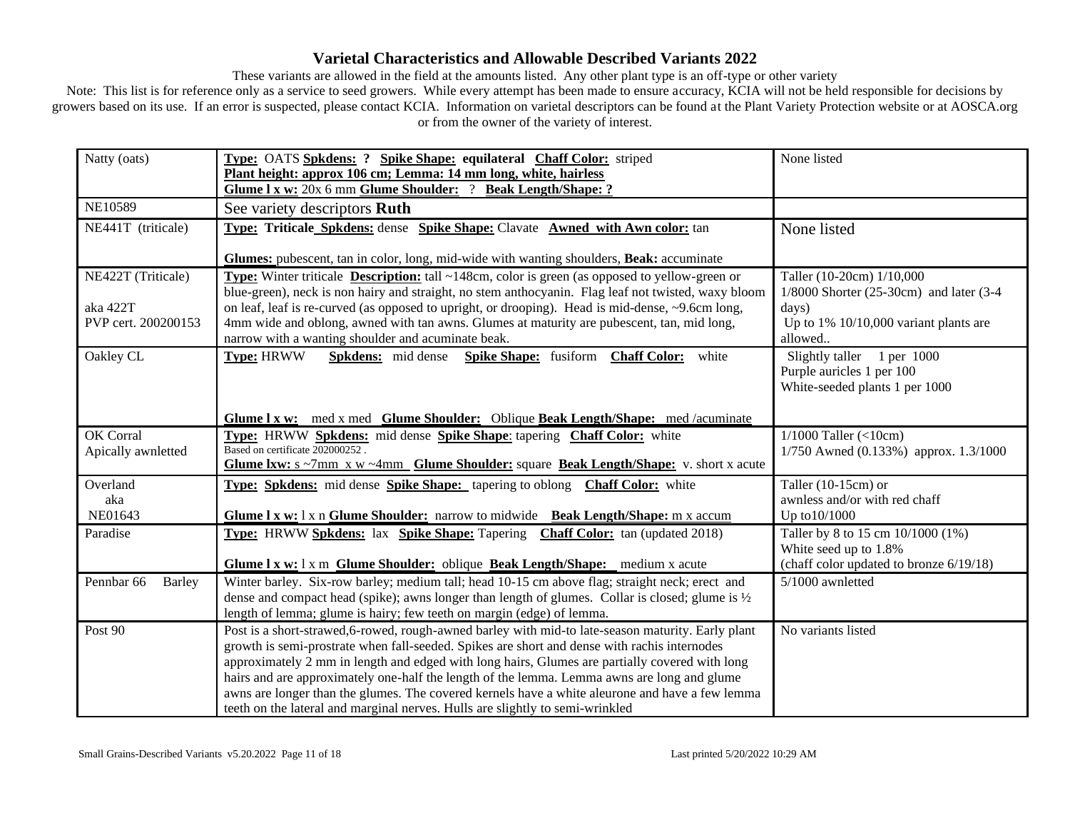These variants are allowed in the field at the amounts listed. Any other plant type is an off-type or other variety

| Natty (oats)                    | Type: OATS Spkdens: ? Spike Shape: equilateral Chaff Color: striped<br>Plant height: approx 106 cm; Lemma: 14 mm long, white, hairless                                                                                                                                                                                                                                                                                                                                                                                                                                                 | None listed                                                                                           |
|---------------------------------|----------------------------------------------------------------------------------------------------------------------------------------------------------------------------------------------------------------------------------------------------------------------------------------------------------------------------------------------------------------------------------------------------------------------------------------------------------------------------------------------------------------------------------------------------------------------------------------|-------------------------------------------------------------------------------------------------------|
|                                 | Glume I x w: 20x 6 mm Glume Shoulder: ? Beak Length/Shape: ?                                                                                                                                                                                                                                                                                                                                                                                                                                                                                                                           |                                                                                                       |
| <b>NE10589</b>                  | See variety descriptors Ruth                                                                                                                                                                                                                                                                                                                                                                                                                                                                                                                                                           |                                                                                                       |
| NE441T (triticale)              | Type: Triticale Spkdens: dense Spike Shape: Clavate Awned with Awn color: tan                                                                                                                                                                                                                                                                                                                                                                                                                                                                                                          | None listed                                                                                           |
|                                 | Glumes: pubescent, tan in color, long, mid-wide with wanting shoulders, Beak: accuminate                                                                                                                                                                                                                                                                                                                                                                                                                                                                                               |                                                                                                       |
| NE422T (Triticale)              | <b>Type:</b> Winter triticale <b>Description:</b> tall $\sim$ 148cm, color is green (as opposed to yellow-green or<br>blue-green), neck is non hairy and straight, no stem anthocyanin. Flag leaf not twisted, waxy bloom                                                                                                                                                                                                                                                                                                                                                              | Taller (10-20cm) 1/10,000<br>1/8000 Shorter (25-30cm) and later (3-4                                  |
| aka 422T<br>PVP cert. 200200153 | on leaf, leaf is re-curved (as opposed to upright, or drooping). Head is mid-dense, ~9.6cm long,<br>4mm wide and oblong, awned with tan awns. Glumes at maturity are pubescent, tan, mid long,                                                                                                                                                                                                                                                                                                                                                                                         | days)<br>Up to $1\%$ 10/10,000 variant plants are                                                     |
| Oakley CL                       | narrow with a wanting shoulder and acuminate beak.<br><b>Type: HRWW</b><br><b>Spkdens:</b> mid dense<br>Spike Shape: fusiform Chaff Color:<br>white                                                                                                                                                                                                                                                                                                                                                                                                                                    | allowed<br>Slightly taller 1 per 1000<br>Purple auricles 1 per 100<br>White-seeded plants 1 per 1000  |
|                                 | Glume I x w: med x med Glume Shoulder: Oblique Beak Length/Shape: med /acuminate                                                                                                                                                                                                                                                                                                                                                                                                                                                                                                       |                                                                                                       |
| OK Corral<br>Apically awnletted | Type: HRWW Spkdens: mid dense Spike Shape: tapering Chaff Color: white<br>Based on certificate 202000252.<br><b>Glume Ixw:</b> $s \sim 7 \text{mm}$ x w $\sim 4 \text{mm}$ <b>Glume Shoulder:</b> square <b>Beak Length/Shape:</b> v. short x acute                                                                                                                                                                                                                                                                                                                                    | $1/1000$ Taller (<10cm)<br>$1/750$ Awned (0.133%) approx. 1.3/1000                                    |
| Overland<br>aka<br>NE01643      | Type: Spkdens: mid dense Spike Shape: tapering to oblong Chaff Color: white<br>Glume 1 x w: 1 x n Glume Shoulder: narrow to midwide Beak Length/Shape: m x accum                                                                                                                                                                                                                                                                                                                                                                                                                       | Taller $(10-15cm)$ or<br>awnless and/or with red chaff<br>Up to 10/1000                               |
| Paradise                        | <b>Type:</b> HRWW Spkdens: lax Spike Shape: Tapering Chaff Color: tan (updated 2018)<br>Glume 1 x w: 1 x m Glume Shoulder: oblique Beak Length/Shape: medium x acute                                                                                                                                                                                                                                                                                                                                                                                                                   | Taller by 8 to 15 cm 10/1000 (1%)<br>White seed up to 1.8%<br>(chaff color updated to bronze 6/19/18) |
| Pennbar 66<br><b>Barley</b>     | Winter barley. Six-row barley; medium tall; head 10-15 cm above flag; straight neck; erect and<br>dense and compact head (spike); awns longer than length of glumes. Collar is closed; glume is $\frac{1}{2}$<br>length of lemma; glume is hairy; few teeth on margin (edge) of lemma.                                                                                                                                                                                                                                                                                                 | 5/1000 awnletted                                                                                      |
| Post 90                         | Post is a short-strawed,6-rowed, rough-awned barley with mid-to late-season maturity. Early plant<br>growth is semi-prostrate when fall-seeded. Spikes are short and dense with rachis internodes<br>approximately 2 mm in length and edged with long hairs, Glumes are partially covered with long<br>hairs and are approximately one-half the length of the lemma. Lemma awns are long and glume<br>awns are longer than the glumes. The covered kernels have a white aleurone and have a few lemma<br>teeth on the lateral and marginal nerves. Hulls are slightly to semi-wrinkled | No variants listed                                                                                    |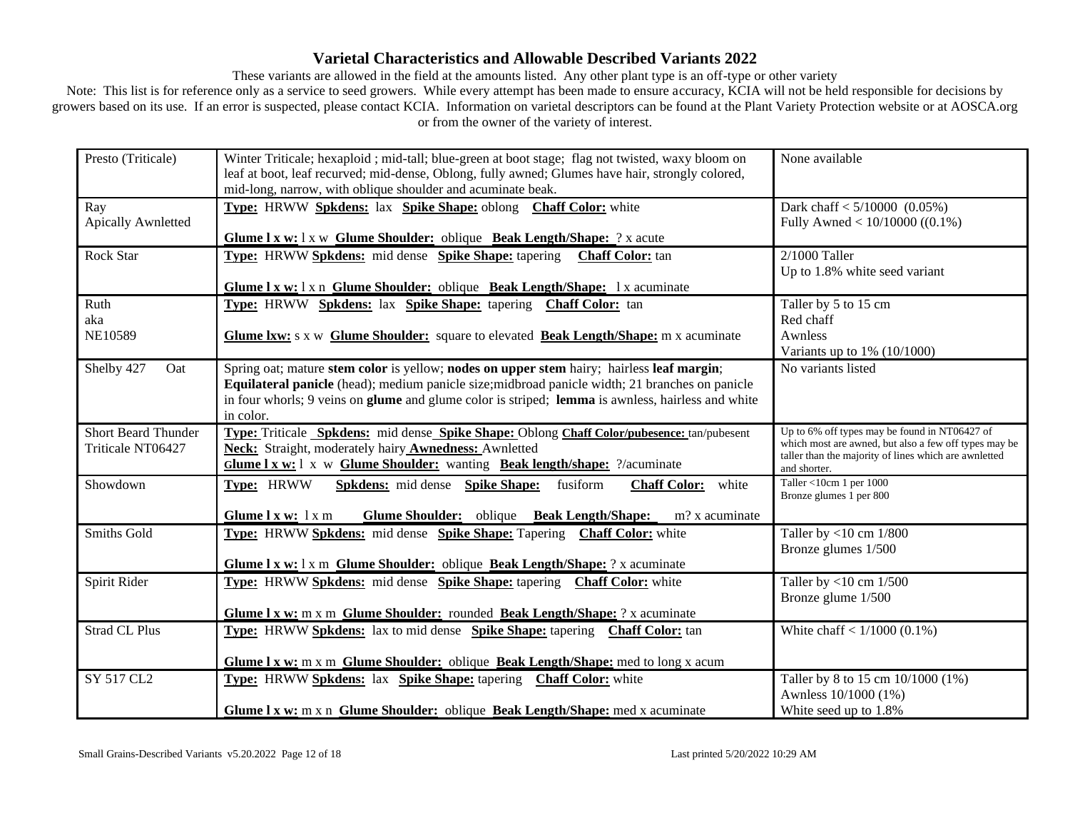These variants are allowed in the field at the amounts listed. Any other plant type is an off-type or other variety

| Presto (Triticale)         | Winter Triticale; hexaploid; mid-tall; blue-green at boot stage; flag not twisted, waxy bloom on        | None available                                                                                         |
|----------------------------|---------------------------------------------------------------------------------------------------------|--------------------------------------------------------------------------------------------------------|
|                            | leaf at boot, leaf recurved; mid-dense, Oblong, fully awned; Glumes have hair, strongly colored,        |                                                                                                        |
|                            | mid-long, narrow, with oblique shoulder and acuminate beak.                                             |                                                                                                        |
|                            |                                                                                                         |                                                                                                        |
| Ray                        | Type: HRWW Spkdens: lax Spike Shape: oblong Chaff Color: white                                          | Dark chaff $< 5/10000$ (0.05%)                                                                         |
| Apically Awnletted         |                                                                                                         | Fully Awned < $10/10000$ ((0.1%)                                                                       |
|                            | Glume I x w: 1 x w Glume Shoulder: oblique Beak Length/Shape: ? x acute                                 |                                                                                                        |
| Rock Star                  | Type: HRWW Spkdens: mid dense Spike Shape: tapering<br><b>Chaff Color:</b> tan                          | $2/1000$ Taller                                                                                        |
|                            |                                                                                                         | Up to 1.8% white seed variant                                                                          |
|                            | Glume I x w: 1 x n Glume Shoulder: oblique Beak Length/Shape: 1 x acuminate                             |                                                                                                        |
| Ruth                       | Type: HRWW Spkdens: lax Spike Shape: tapering Chaff Color: tan                                          | Taller by 5 to 15 cm                                                                                   |
| aka                        |                                                                                                         | Red chaff                                                                                              |
| NE10589                    | <b>Glume Ixw:</b> s x w Glume Shoulder: square to elevated Beak Length/Shape: m x acuminate             | Awnless                                                                                                |
|                            |                                                                                                         |                                                                                                        |
|                            |                                                                                                         | Variants up to $1\%$ ( $10/1000$ )                                                                     |
| Shelby 427<br>Oat          | Spring oat; mature stem color is yellow; nodes on upper stem hairy; hairless leaf margin;               | No variants listed                                                                                     |
|                            | Equilateral panicle (head); medium panicle size; midbroad panicle width; 21 branches on panicle         |                                                                                                        |
|                            | in four whorls; 9 veins on glume and glume color is striped; lemma is awnless, hairless and white       |                                                                                                        |
|                            | in color.                                                                                               |                                                                                                        |
|                            |                                                                                                         |                                                                                                        |
| <b>Short Beard Thunder</b> | Type: Triticale Spkdens: mid dense Spike Shape: Oblong Chaff Color/pubesence: tan/pubesent              | Up to 6% off types may be found in NT06427 of<br>which most are awned, but also a few off types may be |
| Triticale NT06427          | <b>Neck:</b> Straight, moderately hairy <b>Awnedness:</b> Awnletted                                     | taller than the majority of lines which are awnletted                                                  |
|                            | Glume I x w: 1 x w Glume Shoulder: wanting Beak length/shape: ?/acuminate                               | and shorter.                                                                                           |
| Showdown                   | Type: HRWW<br><b>Spkdens:</b> mid dense <b>Spike Shape:</b><br>fusiform<br><b>Chaff Color:</b><br>white | Taller <10cm 1 per $1000$                                                                              |
|                            |                                                                                                         | Bronze glumes 1 per 800                                                                                |
|                            |                                                                                                         |                                                                                                        |
|                            | Glume Shoulder: oblique Beak Length/Shape:<br>Glume 1 x w: 1 x m<br>m? x acuminate                      |                                                                                                        |
| <b>Smiths Gold</b>         | Type: HRWW Spkdens: mid dense Spike Shape: Tapering Chaff Color: white                                  | Taller by $<$ 10 cm $1/800$                                                                            |
|                            |                                                                                                         | Bronze glumes 1/500                                                                                    |
|                            | Glume I x w: 1 x m Glume Shoulder: oblique Beak Length/Shape: ? x acuminate                             |                                                                                                        |
| Spirit Rider               | Type: HRWW Spkdens: mid dense Spike Shape: tapering Chaff Color: white                                  | Taller by <10 cm $1/500$                                                                               |
|                            |                                                                                                         | Bronze glume 1/500                                                                                     |
|                            | Glume I x w: m x m Glume Shoulder: rounded Beak Length/Shape: ? x acuminate                             |                                                                                                        |
|                            |                                                                                                         |                                                                                                        |
| <b>Strad CL Plus</b>       | Type: HRWW Spkdens: lax to mid dense Spike Shape: tapering Chaff Color: tan                             | White chaff $< 1/1000 (0.1\%)$                                                                         |
|                            |                                                                                                         |                                                                                                        |
|                            | <b>Glume 1 x w:</b> m x m <b>Glume Shoulder:</b> oblique <b>Beak Length/Shape:</b> med to long x acum   |                                                                                                        |
| SY 517 CL2                 | Type: HRWW Spkdens: lax Spike Shape: tapering Chaff Color: white                                        | Taller by 8 to 15 cm 10/1000 (1%)                                                                      |
|                            |                                                                                                         | Awnless 10/1000 (1%)                                                                                   |
|                            | Glume I x w: m x n Glume Shoulder: oblique Beak Length/Shape: med x acuminate                           | White seed up to 1.8%                                                                                  |
|                            |                                                                                                         |                                                                                                        |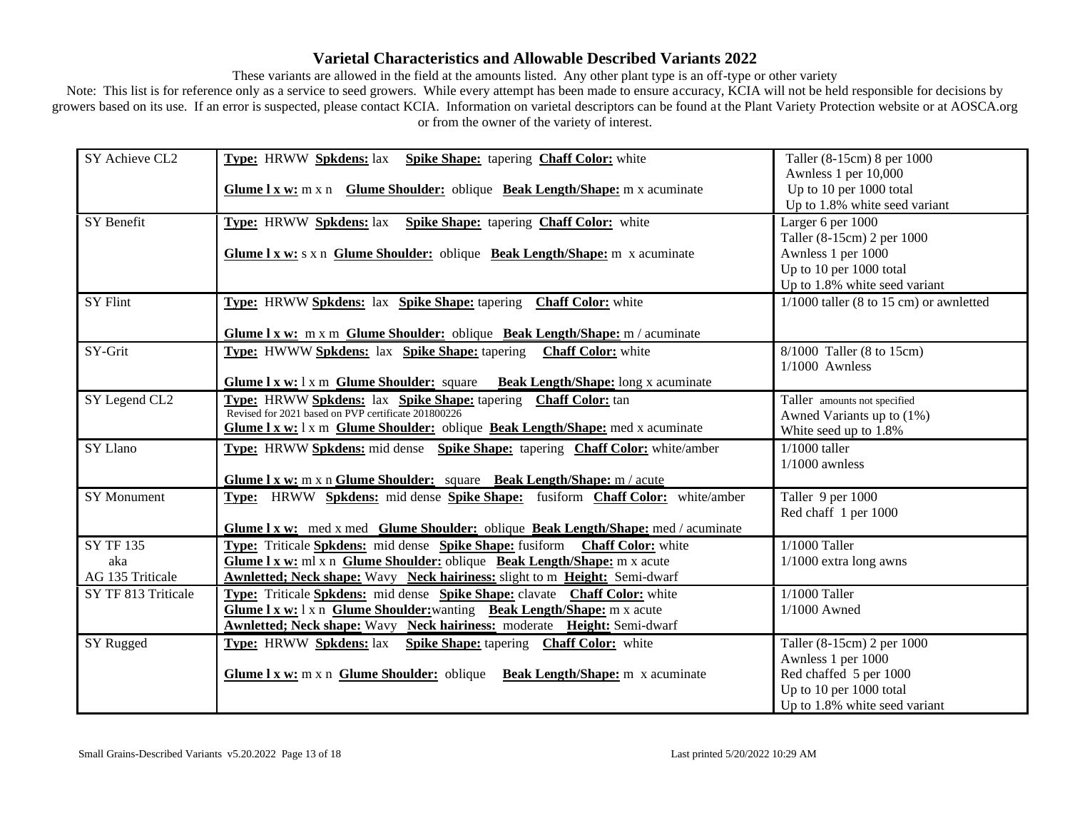These variants are allowed in the field at the amounts listed. Any other plant type is an off-type or other variety

| SY Achieve CL2      | <b>Type:</b> HRWW Spkdens: lax Spike Shape: tapering Chaff Color: white              | Taller (8-15cm) 8 per 1000                |
|---------------------|--------------------------------------------------------------------------------------|-------------------------------------------|
|                     |                                                                                      | Awnless 1 per 10,000                      |
|                     | Glume I x w: m x n Glume Shoulder: oblique Beak Length/Shape: m x acuminate          | Up to 10 per 1000 total                   |
|                     |                                                                                      | Up to 1.8% white seed variant             |
| SY Benefit          | <b>Type:</b> HRWW Spkdens: lax Spike Shape: tapering Chaff Color: white              | Larger 6 per 1000                         |
|                     |                                                                                      | Taller (8-15cm) 2 per 1000                |
|                     | Glume 1 x w: s x n Glume Shoulder: oblique Beak Length/Shape: m x acuminate          | Awnless 1 per 1000                        |
|                     |                                                                                      | Up to 10 per 1000 total                   |
|                     |                                                                                      | Up to 1.8% white seed variant             |
| <b>SY Flint</b>     | Type: HRWW Spkdens: lax Spike Shape: tapering Chaff Color: white                     | $1/1000$ taller (8 to 15 cm) or awnletted |
|                     |                                                                                      |                                           |
|                     | Glume I x w: m x m Glume Shoulder: oblique Beak Length/Shape: m / acuminate          |                                           |
| SY-Grit             | <b>Type: HWWW Spkdens: lax Spike Shape: tapering</b><br><b>Chaff Color:</b> white    | 8/1000 Taller (8 to 15cm)                 |
|                     |                                                                                      | $1/1000$ Awnless                          |
|                     | <b>Glume 1 x w:</b> 1 x m Glume Shoulder: square Beak Length/Shape: long x acuminate |                                           |
| SY Legend CL2       | Type: HRWW Spkdens: lax Spike Shape: tapering Chaff Color: tan                       | Taller amounts not specified              |
|                     | Revised for 2021 based on PVP certificate 201800226                                  | Awned Variants up to $(1%)$               |
|                     | Glume I x w: 1 x m Glume Shoulder: oblique Beak Length/Shape: med x acuminate        | White seed up to 1.8%                     |
| SY Llano            | Type: HRWW Spkdens: mid dense Spike Shape: tapering Chaff Color: white/amber         | $1/1000$ taller                           |
|                     |                                                                                      | $1/1000$ awnless                          |
|                     | Glume I x w: m x n Glume Shoulder: square Beak Length/Shape: m / acute               |                                           |
| <b>SY Monument</b>  | Type: HRWW Spkdens: mid dense Spike Shape: fusiform Chaff Color: white/amber         | Taller 9 per 1000                         |
|                     |                                                                                      | Red chaff 1 per 1000                      |
|                     | Glume I x w: med x med Glume Shoulder: oblique Beak Length/Shape: med / acuminate    |                                           |
| <b>SY TF 135</b>    | Type: Triticale Spkdens: mid dense Spike Shape: fusiform Chaff Color: white          | $1/1000$ Taller                           |
| aka                 | Glume I x w: ml x n Glume Shoulder: oblique Beak Length/Shape: m x acute             | $1/1000$ extra long awns                  |
| AG 135 Triticale    | <b>Awnletted; Neck shape:</b> Wavy Neck hairiness: slight to m Height: Semi-dwarf    |                                           |
| SY TF 813 Triticale | Type: Triticale Spkdens: mid dense Spike Shape: clavate Chaff Color: white           | 1/1000 Taller                             |
|                     | Glume I x w: 1 x n Glume Shoulder: wanting Beak Length/Shape: m x acute              | $1/1000$ Awned                            |
|                     | <b>Awnletted; Neck shape:</b> Wavy Neck hairiness: moderate Height: Semi-dwarf       |                                           |
| SY Rugged           | Type: HRWW Spkdens: lax Spike Shape: tapering Chaff Color: white                     | Taller (8-15cm) 2 per 1000                |
|                     |                                                                                      | Awnless 1 per 1000                        |
|                     | Glume 1 x w: m x n Glume Shoulder: oblique Beak Length/Shape: m x acuminate          | Red chaffed 5 per 1000                    |
|                     |                                                                                      | Up to 10 per 1000 total                   |
|                     |                                                                                      | Up to 1.8% white seed variant             |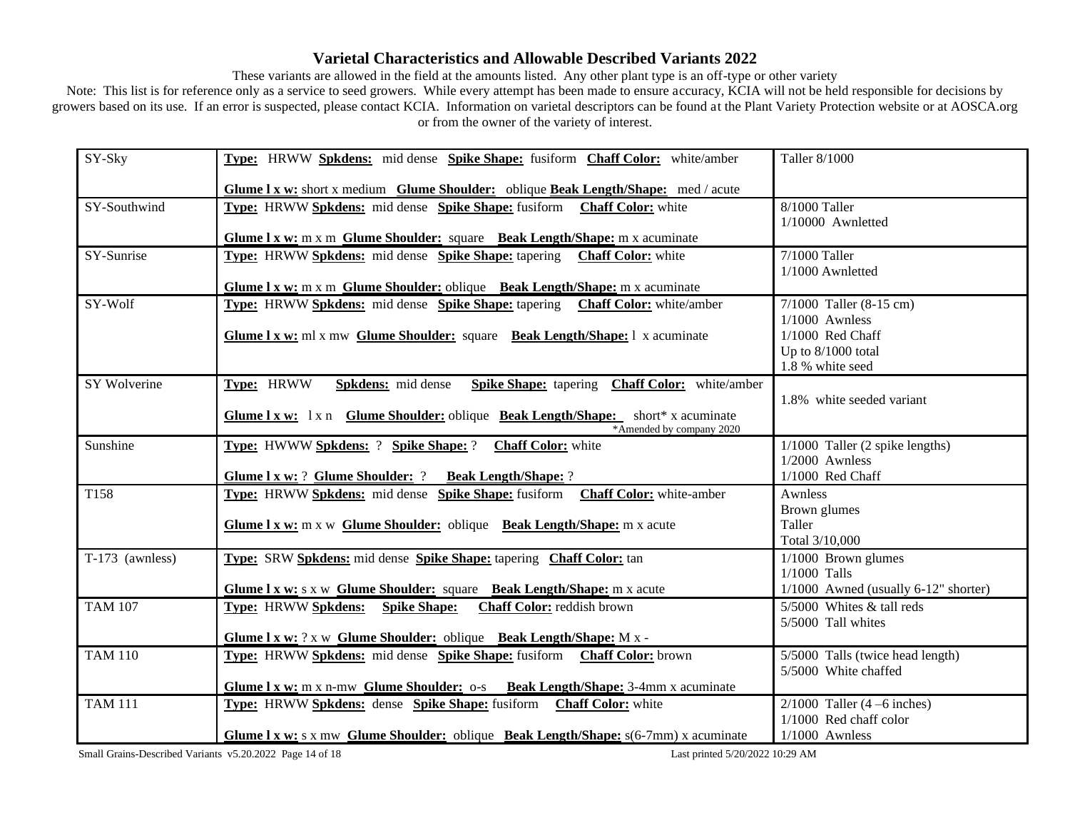These variants are allowed in the field at the amounts listed. Any other plant type is an off-type or other variety

Note: This list is for reference only as a service to seed growers. While every attempt has been made to ensure accuracy, KCIA will not be held responsible for decisions by growers based on its use. If an error is suspected, please contact KCIA. Information on varietal descriptors can be found at the Plant Variety Protection website or at AOSCA.org or from the owner of the variety of interest.

| SY-Sky            | Type: HRWW Spkdens: mid dense Spike Shape: fusiform Chaff Color: white/amber                            | Taller 8/1000                          |
|-------------------|---------------------------------------------------------------------------------------------------------|----------------------------------------|
|                   | <b>Glume 1 x w:</b> short x medium Glume Shoulder: oblique Beak Length/Shape: med / acute               |                                        |
| SY-Southwind      | Type: HRWW Spkdens: mid dense Spike Shape: fusiform Chaff Color: white                                  | 8/1000 Taller                          |
|                   |                                                                                                         | 1/10000 Awnletted                      |
|                   | Glume 1 x w: m x m Glume Shoulder: square Beak Length/Shape: m x acuminate                              |                                        |
| SY-Sunrise        | Type: HRWW Spkdens: mid dense Spike Shape: tapering Chaff Color: white                                  | 7/1000 Taller                          |
|                   |                                                                                                         | 1/1000 Awnletted                       |
|                   | Glume 1 x w: m x m Glume Shoulder: oblique Beak Length/Shape: m x acuminate                             |                                        |
| SY-Wolf           | Type: HRWW Spkdens: mid dense Spike Shape: tapering Chaff Color: white/amber                            | $7/1000$ Taller (8-15 cm)              |
|                   |                                                                                                         | $1/1000$ Awnless                       |
|                   | <b>Glume 1 x w:</b> ml x mw <b>Glume Shoulder:</b> square <b>Beak Length/Shape:</b> 1 x acuminate       | 1/1000 Red Chaff                       |
|                   |                                                                                                         | Up to $8/1000$ total                   |
|                   |                                                                                                         | 1.8 % white seed                       |
| SY Wolverine      | Type: HRWW<br><b>Spike Shape:</b> tapering <b>Chaff Color:</b> white/amber<br><b>Spkdens:</b> mid dense |                                        |
|                   |                                                                                                         | 1.8% white seeded variant              |
|                   | <b>Glume 1 x w:</b> 1 x n <b>Glume Shoulder:</b> oblique <b>Beak Length/Shape:</b> short* x acuminate   |                                        |
|                   | *Amended by company 2020                                                                                |                                        |
| Sunshine          | Type: HWWW Spkdens: ? Spike Shape: ?<br><b>Chaff Color:</b> white                                       | $1/1000$ Taller (2 spike lengths)      |
|                   |                                                                                                         | $1/2000$ Awnless                       |
|                   | Glume I x w: ? Glume Shoulder: ? Beak Length/Shape: ?                                                   | 1/1000 Red Chaff                       |
| T158              | Type: HRWW Spkdens: mid dense Spike Shape: fusiform<br><b>Chaff Color:</b> white-amber                  | Awnless                                |
|                   |                                                                                                         | Brown glumes                           |
|                   | Glume I x w: m x w Glume Shoulder: oblique Beak Length/Shape: m x acute                                 | Taller                                 |
|                   |                                                                                                         | Total 3/10,000                         |
| $T-173$ (awnless) | Type: SRW Spkdens: mid dense Spike Shape: tapering Chaff Color: tan                                     | $1/1000$ Brown glumes                  |
|                   |                                                                                                         | $1/1000$ Talls                         |
|                   | Glume I x w: s x w Glume Shoulder: square Beak Length/Shape: m x acute                                  | $1/1000$ Awned (usually 6-12" shorter) |
| <b>TAM 107</b>    | <b>Type: HRWW Spkdens:</b><br><b>Spike Shape:</b><br>Chaff Color: reddish brown                         | 5/5000 Whites & tall reds              |
|                   |                                                                                                         | 5/5000 Tall whites                     |
|                   | Glume I x w: ? x w Glume Shoulder: oblique Beak Length/Shape: M x -                                     |                                        |
| <b>TAM 110</b>    | Type: HRWW Spkdens: mid dense Spike Shape: fusiform Chaff Color: brown                                  | 5/5000 Talls (twice head length)       |
|                   |                                                                                                         | 5/5000 White chaffed                   |
|                   | Glume 1 x w: m x n-mw Glume Shoulder: 0-s Beak Length/Shape: 3-4mm x acuminate                          |                                        |
| <b>TAM 111</b>    | Type: HRWW Spkdens: dense Spike Shape: fusiform Chaff Color: white                                      | $2/1000$ Taller (4 –6 inches)          |
|                   |                                                                                                         | 1/1000 Red chaff color                 |
|                   | <b>Glume 1 x w:</b> s x mw Glume Shoulder: oblique Beak Length/Shape: $s(6-7mm)$ x acuminate            | $1/1000$ Awnless                       |

Small Grains-Described Variants v5.20.2022 Page 14 of 18 Last printed 5/20/2022 10:29 AM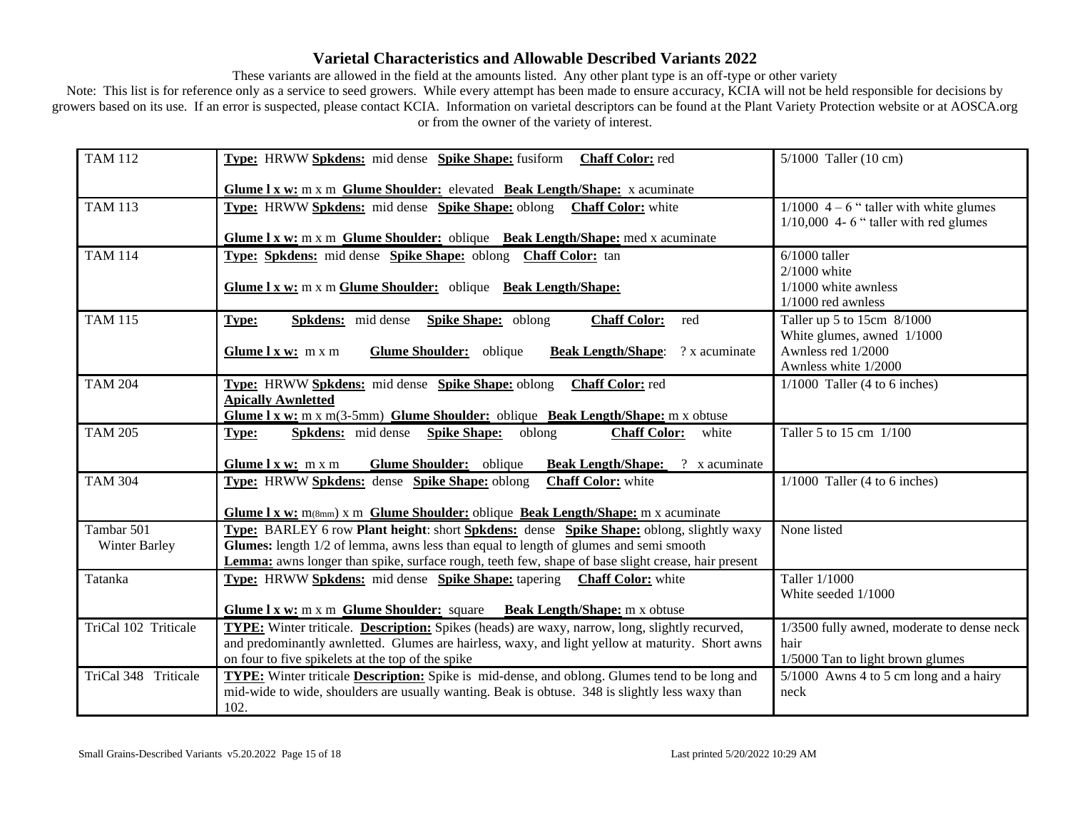These variants are allowed in the field at the amounts listed. Any other plant type is an off-type or other variety

| <b>TAM 112</b>       | Type: HRWW Spkdens: mid dense Spike Shape: fusiform Chaff Color: red                                                                                                                | $5/1000$ Taller (10 cm)                          |
|----------------------|-------------------------------------------------------------------------------------------------------------------------------------------------------------------------------------|--------------------------------------------------|
|                      | Glume 1 x w: m x m Glume Shoulder: elevated Beak Length/Shape: x acuminate                                                                                                          |                                                  |
| <b>TAM 113</b>       | Type: HRWW Spkdens: mid dense Spike Shape: oblong Chaff Color: white                                                                                                                | $1/1000$ 4 – 6 " taller with white glumes        |
|                      | Glume I x w: m x m Glume Shoulder: oblique Beak Length/Shape: med x acuminate                                                                                                       | $1/10,000$ 4-6 " taller with red glumes          |
| <b>TAM 114</b>       | Type: Spkdens: mid dense Spike Shape: oblong Chaff Color: tan                                                                                                                       | $6/1000$ taller                                  |
|                      |                                                                                                                                                                                     | $2/1000$ white                                   |
|                      | Glume 1 x w: m x m Glume Shoulder: oblique Beak Length/Shape:                                                                                                                       | $1/1000$ white awnless<br>$1/1000$ red awnless   |
| <b>TAM 115</b>       | <b>Spkdens:</b> mid dense <b>Spike Shape:</b> oblong<br><b>Chaff Color:</b><br>red<br><b>Type:</b>                                                                                  | Taller up 5 to 15cm 8/1000                       |
|                      |                                                                                                                                                                                     | White glumes, awned 1/1000<br>Awnless red 1/2000 |
|                      | Glume Shoulder: oblique<br>? x acuminate<br>Glume $l x w$ : m x m<br><b>Beak Length/Shape:</b>                                                                                      | Awnless white 1/2000                             |
| <b>TAM 204</b>       | Type: HRWW Spkdens: mid dense Spike Shape: oblong<br><b>Chaff Color:</b> red                                                                                                        | $1/1000$ Taller (4 to 6 inches)                  |
|                      | <b>Apically Awnletted</b>                                                                                                                                                           |                                                  |
| <b>TAM 205</b>       | <b>Glume 1 x w:</b> m x m(3-5mm) <b>Glume Shoulder:</b> oblique <b>Beak Length/Shape:</b> m x obtuse<br>white                                                                       | Taller 5 to 15 cm 1/100                          |
|                      | <b>Spkdens:</b> mid dense <b>Spike Shape:</b> oblong<br><b>Chaff Color:</b><br>Type:                                                                                                |                                                  |
|                      | Glume Shoulder: oblique<br><b>Beak Length/Shape:</b> ? x acuminate<br>Glume $l x w: m x m$                                                                                          |                                                  |
| <b>TAM 304</b>       | Type: HRWW Spkdens: dense Spike Shape: oblong<br><b>Chaff Color:</b> white                                                                                                          | $1/1000$ Taller (4 to 6 inches)                  |
|                      | <b>Glume 1 x w:</b> $m(\text{8mm})$ x m <b>Glume Shoulder:</b> oblique <b>Beak Length/Shape:</b> m x acuminate                                                                      |                                                  |
| Tambar 501           | Type: BARLEY 6 row Plant height: short Spkdens: dense Spike Shape: oblong, slightly waxy                                                                                            | None listed                                      |
| Winter Barley        | Glumes: length 1/2 of lemma, awns less than equal to length of glumes and semi smooth                                                                                               |                                                  |
| Tatanka              | Lemma: awns longer than spike, surface rough, teeth few, shape of base slight crease, hair present<br><b>Type:</b> HRWW Spkdens: mid dense Spike Shape: tapering Chaff Color: white | Taller 1/1000                                    |
|                      |                                                                                                                                                                                     | White seeded 1/1000                              |
|                      | Glume I x w: m x m Glume Shoulder: square Beak Length/Shape: m x obtuse                                                                                                             |                                                  |
| TriCal 102 Triticale | <b>TYPE:</b> Winter triticale. <b>Description:</b> Spikes (heads) are waxy, narrow, long, slightly recurved,                                                                        | 1/3500 fully awned, moderate to dense neck       |
|                      | and predominantly awnletted. Glumes are hairless, waxy, and light yellow at maturity. Short awns                                                                                    | hair                                             |
|                      | on four to five spikelets at the top of the spike                                                                                                                                   | 1/5000 Tan to light brown glumes                 |
| TriCal 348 Triticale | <b>TYPE:</b> Winter triticale <b>Description:</b> Spike is mid-dense, and oblong. Glumes tend to be long and                                                                        | $5/1000$ Awns 4 to 5 cm long and a hairy         |
|                      | mid-wide to wide, shoulders are usually wanting. Beak is obtuse. 348 is slightly less waxy than<br>102.                                                                             | neck                                             |
|                      |                                                                                                                                                                                     |                                                  |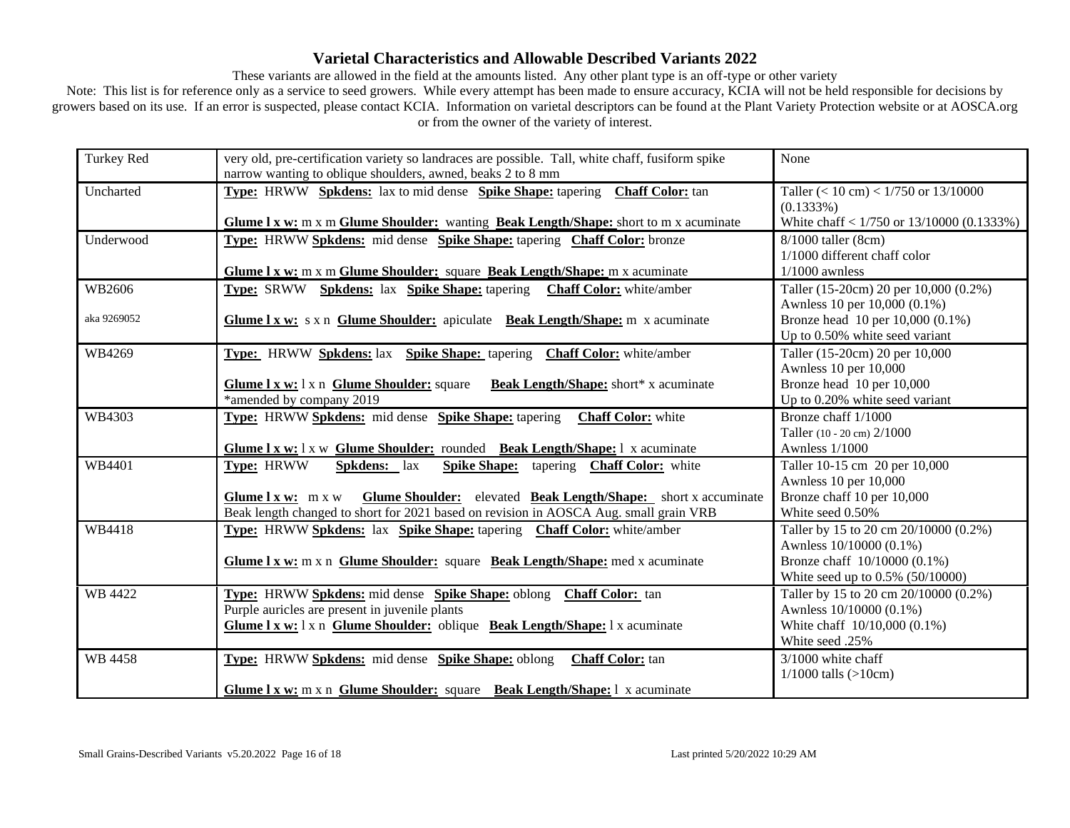These variants are allowed in the field at the amounts listed. Any other plant type is an off-type or other variety

| Turkey Red  | very old, pre-certification variety so landraces are possible. Tall, white chaff, fusiform spike<br>narrow wanting to oblique shoulders, awned, beaks 2 to 8 mm | None                                                                  |
|-------------|-----------------------------------------------------------------------------------------------------------------------------------------------------------------|-----------------------------------------------------------------------|
| Uncharted   | <b>Type:</b> HRWW Spkdens: lax to mid dense Spike Shape: tapering Chaff Color: tan                                                                              | Taller $(< 10 \text{ cm}) < 1/750$ or $13/10000$<br>$(0.1333\%)$      |
|             | Glume 1 x w: m x m Glume Shoulder: wanting Beak Length/Shape: short to m x acuminate                                                                            | White chaff $< 1/750$ or 13/10000 (0.1333%)                           |
| Underwood   | Type: HRWW Spkdens: mid dense Spike Shape: tapering Chaff Color: bronze                                                                                         | 8/1000 taller (8cm)<br>1/1000 different chaff color                   |
|             | Glume I x w: m x m Glume Shoulder: square Beak Length/Shape: m x acuminate                                                                                      | $1/1000$ awnless                                                      |
| WB2606      | <b>Type:</b> SRWW <b>Spkdens:</b> lax <b>Spike Shape:</b> tapering <b>Chaff Color:</b> white/amber                                                              | Taller (15-20cm) 20 per 10,000 (0.2%)<br>Awnless 10 per 10,000 (0.1%) |
| aka 9269052 | Glume 1 x w: s x n Glume Shoulder: apiculate Beak Length/Shape: m x acuminate                                                                                   | Bronze head 10 per 10,000 (0.1%)<br>Up to 0.50% white seed variant    |
| WB4269      | Type: HRWW Spkdens: lax Spike Shape: tapering Chaff Color: white/amber                                                                                          | Taller (15-20cm) 20 per 10,000<br>Awnless 10 per 10,000               |
|             | Glume I x w: 1 x n Glume Shoulder: square<br><b>Beak Length/Shape:</b> short* x acuminate<br>*amended by company 2019                                           | Bronze head 10 per 10,000<br>Up to 0.20% white seed variant           |
| WB4303      | Type: HRWW Spkdens: mid dense Spike Shape: tapering<br><b>Chaff Color:</b> white                                                                                | Bronze chaff 1/1000                                                   |
|             |                                                                                                                                                                 | Taller (10 - 20 cm) 2/1000                                            |
|             | Glume I x w: 1 x w Glume Shoulder: rounded Beak Length/Shape: 1 x acuminate                                                                                     | <b>Awnless 1/1000</b>                                                 |
| WB4401      | Type: HRWW<br>Spkdens: lax<br>Spike Shape: tapering Chaff Color: white                                                                                          | Taller 10-15 cm 20 per 10,000                                         |
|             |                                                                                                                                                                 | Awnless 10 per 10,000                                                 |
|             | Glume Shoulder: elevated Beak Length/Shape: short x accuminate<br>Glume $l x w$ : m x w                                                                         | Bronze chaff 10 per 10,000                                            |
|             | Beak length changed to short for 2021 based on revision in AOSCA Aug. small grain VRB                                                                           | White seed 0.50%                                                      |
| WB4418      | <b>Type:</b> HRWW Spkdens: lax Spike Shape: tapering Chaff Color: white/amber                                                                                   | Taller by 15 to 20 cm 20/10000 (0.2%)                                 |
|             |                                                                                                                                                                 | Awnless 10/10000 (0.1%)                                               |
|             | Glume 1 x w: m x n Glume Shoulder: square Beak Length/Shape: med x acuminate                                                                                    | Bronze chaff 10/10000 (0.1%)                                          |
|             |                                                                                                                                                                 | White seed up to 0.5% (50/10000)                                      |
| WB 4422     | Type: HRWW Spkdens: mid dense Spike Shape: oblong Chaff Color: tan                                                                                              | Taller by 15 to 20 cm 20/10000 (0.2%)                                 |
|             | Purple auricles are present in juvenile plants                                                                                                                  | Awnless 10/10000 (0.1%)                                               |
|             | Glume I x w: 1 x n Glume Shoulder: oblique Beak Length/Shape: 1 x acuminate                                                                                     | White chaff 10/10,000 (0.1%)                                          |
|             |                                                                                                                                                                 | White seed .25%                                                       |
| WB 4458     | Type: HRWW Spkdens: mid dense Spike Shape: oblong<br>Chaff Color: tan                                                                                           | $3/1000$ white chaff                                                  |
|             |                                                                                                                                                                 | $1/1000$ talls (>10cm)                                                |
|             | Glume I x w: m x n Glume Shoulder: square Beak Length/Shape: 1 x acuminate                                                                                      |                                                                       |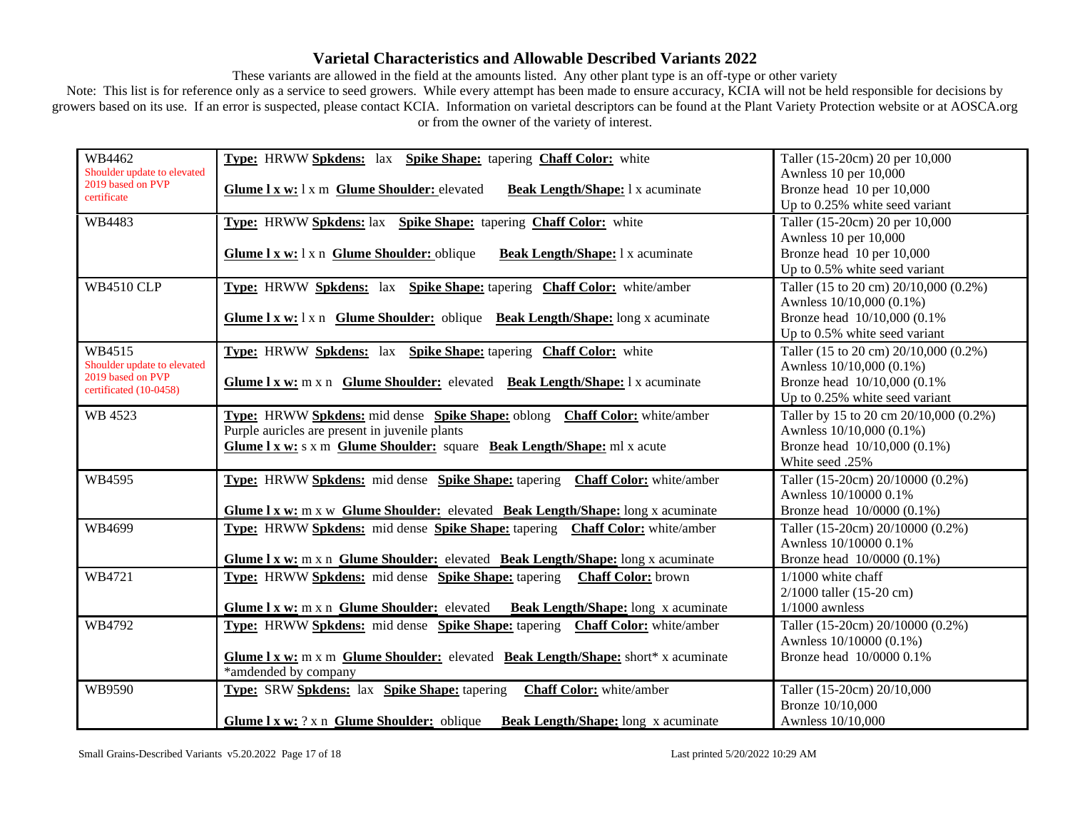These variants are allowed in the field at the amounts listed. Any other plant type is an off-type or other variety

| WB4462                                      | Type: HRWW Spkdens: lax Spike Shape: tapering Chaff Color: white                      | Taller (15-20cm) 20 per 10,000         |
|---------------------------------------------|---------------------------------------------------------------------------------------|----------------------------------------|
| Shoulder update to elevated                 |                                                                                       | Awnless 10 per 10,000                  |
| 2019 based on PVP<br>certificate            | Glume 1 x w: 1 x m Glume Shoulder: elevated<br>Beak Length/Shape: 1 x acuminate       | Bronze head 10 per 10,000              |
|                                             |                                                                                       | Up to 0.25% white seed variant         |
| WB4483                                      | Type: HRWW Spkdens: lax Spike Shape: tapering Chaff Color: white                      | Taller (15-20cm) 20 per 10,000         |
|                                             |                                                                                       | Awnless 10 per 10,000                  |
|                                             | Glume I x w: 1 x n Glume Shoulder: oblique<br>Beak Length/Shape: 1 x acuminate        | Bronze head 10 per 10,000              |
|                                             |                                                                                       | Up to 0.5% white seed variant          |
| <b>WB4510 CLP</b>                           | Type: HRWW Spkdens: lax Spike Shape: tapering Chaff Color: white/amber                | Taller (15 to 20 cm) 20/10,000 (0.2%)  |
|                                             |                                                                                       | Awnless 10/10,000 (0.1%)               |
|                                             | Glume 1 x w: 1 x n Glume Shoulder: oblique Beak Length/Shape: long x acuminate        | Bronze head 10/10,000 (0.1%)           |
|                                             |                                                                                       | Up to 0.5% white seed variant          |
| WB4515                                      | Type: HRWW Spkdens: lax Spike Shape: tapering Chaff Color: white                      | Taller (15 to 20 cm) 20/10,000 (0.2%)  |
| Shoulder update to elevated                 |                                                                                       | Awnless 10/10,000 (0.1%)               |
| 2019 based on PVP<br>certificated (10-0458) | Glume 1 x w: m x n Glume Shoulder: elevated Beak Length/Shape: 1 x acuminate          | Bronze head 10/10,000 (0.1%)           |
|                                             |                                                                                       | Up to 0.25% white seed variant         |
| WB 4523                                     | <b>Type:</b> HRWW Spkdens: mid dense Spike Shape: oblong Chaff Color: white/amber     | Taller by 15 to 20 cm 20/10,000 (0.2%) |
|                                             | Purple auricles are present in juvenile plants                                        | Awnless 10/10,000 (0.1%)               |
|                                             | Glume I x w: s x m Glume Shoulder: square Beak Length/Shape: ml x acute               | Bronze head 10/10,000 (0.1%)           |
|                                             |                                                                                       | White seed .25%                        |
| WB4595                                      | Type: HRWW Spkdens: mid dense Spike Shape: tapering Chaff Color: white/amber          | Taller (15-20cm) 20/10000 (0.2%)       |
|                                             |                                                                                       | Awnless 10/10000 0.1%                  |
|                                             | Glume I x w: m x w Glume Shoulder: elevated Beak Length/Shape: long x acuminate       | Bronze head 10/0000 (0.1%)             |
| WB4699                                      | <b>Type:</b> HRWW Spkdens: mid dense Spike Shape: tapering Chaff Color: white/amber   | Taller (15-20cm) 20/10000 (0.2%)       |
|                                             |                                                                                       | Awnless 10/10000 0.1%                  |
|                                             | Glume I x w: m x n Glume Shoulder: elevated Beak Length/Shape: long x acuminate       | Bronze head 10/0000 (0.1%)             |
| WB4721                                      | Type: HRWW Spkdens: mid dense Spike Shape: tapering Chaff Color: brown                | $1/1000$ white chaff                   |
|                                             |                                                                                       | $2/1000$ taller (15-20 cm)             |
|                                             | Glume I x w: m x n Glume Shoulder: elevated Beak Length/Shape: long x acuminate       | $1/1000$ awnless                       |
| WB4792                                      | Type: HRWW Spkdens: mid dense Spike Shape: tapering Chaff Color: white/amber          | Taller (15-20cm) 20/10000 (0.2%)       |
|                                             |                                                                                       | Awnless 10/10000 (0.1%)                |
|                                             | Glume 1 x w: m x m Glume Shoulder: elevated Beak Length/Shape: short* x acuminate     | Bronze head 10/0000 0.1%               |
|                                             | *amdended by company                                                                  |                                        |
| WB9590                                      | Type: SRW Spkdens: lax Spike Shape: tapering<br><b>Chaff Color:</b> white/amber       | Taller (15-20cm) 20/10,000             |
|                                             |                                                                                       | Bronze 10/10,000                       |
|                                             | <b>Glume 1 x w:</b> ? x n Glume Shoulder: oblique Beak Length/Shape: long x acuminate | Awnless 10/10,000                      |